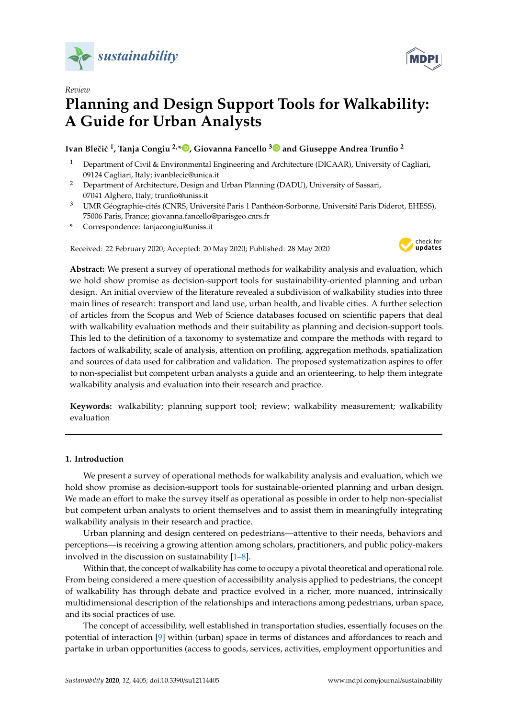

*Review*

# **Planning and Design Support Tools for Walkability: A Guide for Urban Analysts**

## **Ivan Bleˇci´c <sup>1</sup> , Tanja Congiu 2,[\\*](https://orcid.org/0000-0003-3791-8352) , Giovanna Fancello [3](https://orcid.org/0000-0003-4167-2500) and Giuseppe Andrea Trunfio <sup>2</sup>**

- <sup>1</sup> Department of Civil & Environmental Engineering and Architecture (DICAAR), University of Cagliari, 09124 Cagliari, Italy; ivanblecic@unica.it
- <sup>2</sup> Department of Architecture, Design and Urban Planning (DADU), University of Sassari, 07041 Alghero, Italy; trunfio@uniss.it
- <sup>3</sup> UMR Géographie-cités (CNRS, Université Paris 1 Panthéon-Sorbonne, Université Paris Diderot, EHESS), 75006 Paris, France; giovanna.fancello@parisgeo.cnrs.fr
- **\*** Correspondence: tanjacongiu@uniss.it

Received: 22 February 2020; Accepted: 20 May 2020; Published: 28 May 2020



**MDPI** 

**Abstract:** We present a survey of operational methods for walkability analysis and evaluation, which we hold show promise as decision-support tools for sustainability-oriented planning and urban design. An initial overview of the literature revealed a subdivision of walkability studies into three main lines of research: transport and land use, urban health, and livable cities. A further selection of articles from the Scopus and Web of Science databases focused on scientific papers that deal with walkability evaluation methods and their suitability as planning and decision-support tools. This led to the definition of a taxonomy to systematize and compare the methods with regard to factors of walkability, scale of analysis, attention on profiling, aggregation methods, spatialization and sources of data used for calibration and validation. The proposed systematization aspires to offer to non-specialist but competent urban analysts a guide and an orienteering, to help them integrate walkability analysis and evaluation into their research and practice.

**Keywords:** walkability; planning support tool; review; walkability measurement; walkability evaluation

## **1. Introduction**

We present a survey of operational methods for walkability analysis and evaluation, which we hold show promise as decision-support tools for sustainable-oriented planning and urban design. We made an effort to make the survey itself as operational as possible in order to help non-specialist but competent urban analysts to orient themselves and to assist them in meaningfully integrating walkability analysis in their research and practice.

Urban planning and design centered on pedestrians—attentive to their needs, behaviors and perceptions—is receiving a growing attention among scholars, practitioners, and public policy-makers involved in the discussion on sustainability [\[1](#page-13-0)[–8\]](#page-13-1).

Within that, the concept of walkability has come to occupy a pivotal theoretical and operational role. From being considered a mere question of accessibility analysis applied to pedestrians, the concept of walkability has through debate and practice evolved in a richer, more nuanced, intrinsically multidimensional description of the relationships and interactions among pedestrians, urban space, and its social practices of use.

The concept of accessibility, well established in transportation studies, essentially focuses on the potential of interaction [\[9\]](#page-13-2) within (urban) space in terms of distances and affordances to reach and partake in urban opportunities (access to goods, services, activities, employment opportunities and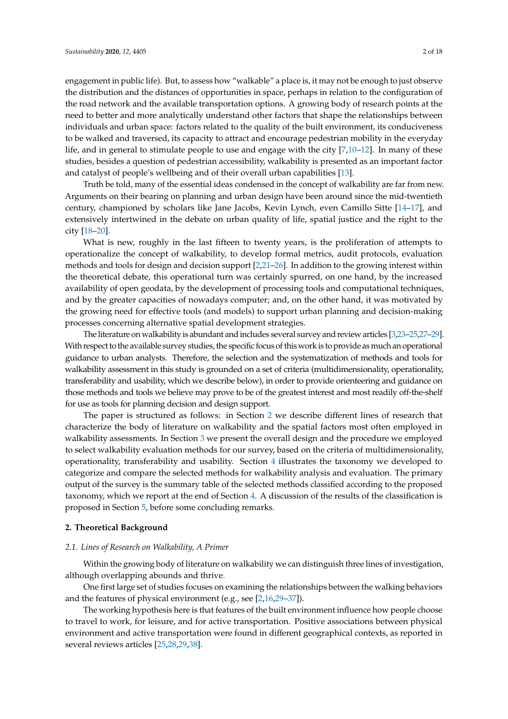engagement in public life). But, to assess how "walkable" a place is, it may not be enough to just observe the distribution and the distances of opportunities in space, perhaps in relation to the configuration of the road network and the available transportation options. A growing body of research points at the need to better and more analytically understand other factors that shape the relationships between individuals and urban space: factors related to the quality of the built environment, its conduciveness to be walked and traversed, its capacity to attract and encourage pedestrian mobility in the everyday life, and in general to stimulate people to use and engage with the city [\[7,](#page-13-3)[10](#page-13-4)[–12\]](#page-13-5). In many of these studies, besides a question of pedestrian accessibility, walkability is presented as an important factor and catalyst of people's wellbeing and of their overall urban capabilities [\[13\]](#page-13-6).

Truth be told, many of the essential ideas condensed in the concept of walkability are far from new. Arguments on their bearing on planning and urban design have been around since the mid-twentieth century, championed by scholars like Jane Jacobs, Kevin Lynch, even Camillo Sitte [\[14](#page-13-7)[–17\]](#page-13-8), and extensively intertwined in the debate on urban quality of life, spatial justice and the right to the city [\[18](#page-13-9)[–20\]](#page-13-10).

What is new, roughly in the last fifteen to twenty years, is the proliferation of attempts to operationalize the concept of walkability, to develop formal metrics, audit protocols, evaluation methods and tools for design and decision support [\[2,](#page-13-11)[21](#page-14-0)[–26\]](#page-14-1). In addition to the growing interest within the theoretical debate, this operational turn was certainly spurred, on one hand, by the increased availability of open geodata, by the development of processing tools and computational techniques, and by the greater capacities of nowadays computer; and, on the other hand, it was motivated by the growing need for effective tools (and models) to support urban planning and decision-making processes concerning alternative spatial development strategies.

The literature on walkability is abundant and includes several survey and review articles [\[3,](#page-13-12)[23](#page-14-2)[–25,](#page-14-3)[27–](#page-14-4)[29\]](#page-14-5). With respect to the available survey studies, the specific focus of this work is to provide as much an operational guidance to urban analysts. Therefore, the selection and the systematization of methods and tools for walkability assessment in this study is grounded on a set of criteria (multidimensionality, operationality, transferability and usability, which we describe below), in order to provide orienteering and guidance on those methods and tools we believe may prove to be of the greatest interest and most readily off-the-shelf for use as tools for planning decision and design support.

The paper is structured as follows: in Section [2](#page-1-0) we describe different lines of research that characterize the body of literature on walkability and the spatial factors most often employed in walkability assessments. In Section [3](#page-3-0) we present the overall design and the procedure we employed to select walkability evaluation methods for our survey, based on the criteria of multidimensionality, operationality, transferability and usability. Section [4](#page-5-0) illustrates the taxonomy we developed to categorize and compare the selected methods for walkability analysis and evaluation. The primary output of the survey is the summary table of the selected methods classified according to the proposed taxonomy, which we report at the end of Section [4.](#page-5-0) A discussion of the results of the classification is proposed in Section [5,](#page-11-0) before some concluding remarks.

## <span id="page-1-0"></span>**2. Theoretical Background**

## *2.1. Lines of Research on Walkability, A Primer*

Within the growing body of literature on walkability we can distinguish three lines of investigation, although overlapping abounds and thrive.

One first large set of studies focuses on examining the relationships between the walking behaviors and the features of physical environment (e.g., see [\[2,](#page-13-11)[16,](#page-13-13)[29](#page-14-5)[–37\]](#page-14-6)).

The working hypothesis here is that features of the built environment influence how people choose to travel to work, for leisure, and for active transportation. Positive associations between physical environment and active transportation were found in different geographical contexts, as reported in several reviews articles [\[25,](#page-14-3)[28,](#page-14-7)[29,](#page-14-5)[38\]](#page-14-8).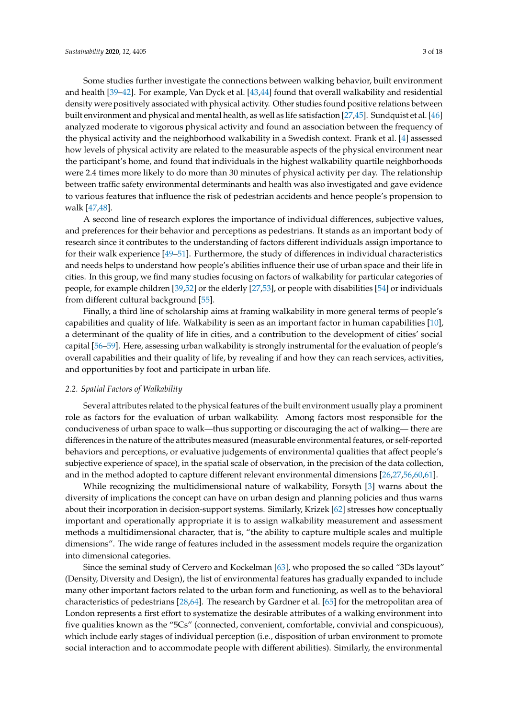Some studies further investigate the connections between walking behavior, built environment and health [\[39–](#page-14-9)[42\]](#page-14-10). For example, Van Dyck et al. [\[43](#page-15-0)[,44\]](#page-15-1) found that overall walkability and residential density were positively associated with physical activity. Other studies found positive relations between built environment and physical and mental health, as well as life satisfaction [\[27,](#page-14-4)[45\]](#page-15-2). Sundquist et al. [\[46\]](#page-15-3) analyzed moderate to vigorous physical activity and found an association between the frequency of the physical activity and the neighborhood walkability in a Swedish context. Frank et al. [\[4\]](#page-13-14) assessed how levels of physical activity are related to the measurable aspects of the physical environment near the participant's home, and found that individuals in the highest walkability quartile neighborhoods were 2.4 times more likely to do more than 30 minutes of physical activity per day. The relationship between traffic safety environmental determinants and health was also investigated and gave evidence to various features that influence the risk of pedestrian accidents and hence people's propension to walk [\[47,](#page-15-4)[48\]](#page-15-5).

A second line of research explores the importance of individual differences, subjective values, and preferences for their behavior and perceptions as pedestrians. It stands as an important body of research since it contributes to the understanding of factors different individuals assign importance to for their walk experience [\[49](#page-15-6)[–51\]](#page-15-7). Furthermore, the study of differences in individual characteristics and needs helps to understand how people's abilities influence their use of urban space and their life in cities. In this group, we find many studies focusing on factors of walkability for particular categories of people, for example children [\[39,](#page-14-9)[52\]](#page-15-8) or the elderly [\[27](#page-14-4)[,53\]](#page-15-9), or people with disabilities [\[54\]](#page-15-10) or individuals from different cultural background [\[55\]](#page-15-11).

Finally, a third line of scholarship aims at framing walkability in more general terms of people's capabilities and quality of life. Walkability is seen as an important factor in human capabilities [\[10\]](#page-13-4), a determinant of the quality of life in cities, and a contribution to the development of cities' social capital [\[56–](#page-15-12)[59\]](#page-15-13). Here, assessing urban walkability is strongly instrumental for the evaluation of people's overall capabilities and their quality of life, by revealing if and how they can reach services, activities, and opportunities by foot and participate in urban life.

## *2.2. Spatial Factors of Walkability*

Several attributes related to the physical features of the built environment usually play a prominent role as factors for the evaluation of urban walkability. Among factors most responsible for the conduciveness of urban space to walk—thus supporting or discouraging the act of walking— there are differences in the nature of the attributes measured (measurable environmental features, or self-reported behaviors and perceptions, or evaluative judgements of environmental qualities that affect people's subjective experience of space), in the spatial scale of observation, in the precision of the data collection, and in the method adopted to capture different relevant environmental dimensions [\[26](#page-14-1)[,27](#page-14-4)[,56](#page-15-12)[,60](#page-15-14)[,61\]](#page-15-15).

While recognizing the multidimensional nature of walkability, Forsyth [\[3\]](#page-13-12) warns about the diversity of implications the concept can have on urban design and planning policies and thus warns about their incorporation in decision-support systems. Similarly, Krizek [\[62\]](#page-15-16) stresses how conceptually important and operationally appropriate it is to assign walkability measurement and assessment methods a multidimensional character, that is, "the ability to capture multiple scales and multiple dimensions". The wide range of features included in the assessment models require the organization into dimensional categories.

Since the seminal study of Cervero and Kockelman [\[63\]](#page-15-17), who proposed the so called "3Ds layout" (Density, Diversity and Design), the list of environmental features has gradually expanded to include many other important factors related to the urban form and functioning, as well as to the behavioral characteristics of pedestrians [\[28](#page-14-7)[,64\]](#page-16-0). The research by Gardner et al. [\[65\]](#page-16-1) for the metropolitan area of London represents a first effort to systematize the desirable attributes of a walking environment into five qualities known as the "5Cs" (connected, convenient, comfortable, convivial and conspicuous), which include early stages of individual perception (i.e., disposition of urban environment to promote social interaction and to accommodate people with different abilities). Similarly, the environmental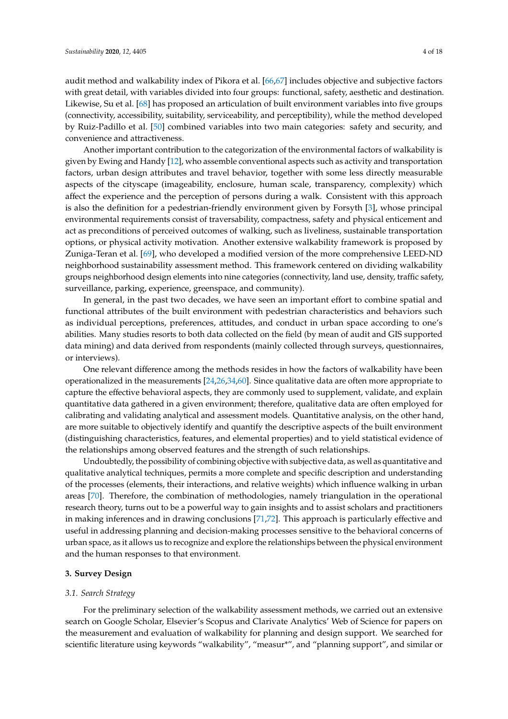audit method and walkability index of Pikora et al. [\[66](#page-16-2)[,67\]](#page-16-3) includes objective and subjective factors with great detail, with variables divided into four groups: functional, safety, aesthetic and destination. Likewise, Su et al. [\[68\]](#page-16-4) has proposed an articulation of built environment variables into five groups (connectivity, accessibility, suitability, serviceability, and perceptibility), while the method developed by Ruiz-Padillo et al. [\[50\]](#page-15-18) combined variables into two main categories: safety and security, and convenience and attractiveness.

Another important contribution to the categorization of the environmental factors of walkability is given by Ewing and Handy [\[12\]](#page-13-5), who assemble conventional aspects such as activity and transportation factors, urban design attributes and travel behavior, together with some less directly measurable aspects of the cityscape (imageability, enclosure, human scale, transparency, complexity) which affect the experience and the perception of persons during a walk. Consistent with this approach is also the definition for a pedestrian-friendly environment given by Forsyth [\[3\]](#page-13-12), whose principal environmental requirements consist of traversability, compactness, safety and physical enticement and act as preconditions of perceived outcomes of walking, such as liveliness, sustainable transportation options, or physical activity motivation. Another extensive walkability framework is proposed by Zuniga-Teran et al. [\[69\]](#page-16-5), who developed a modified version of the more comprehensive LEED-ND neighborhood sustainability assessment method. This framework centered on dividing walkability groups neighborhood design elements into nine categories (connectivity, land use, density, traffic safety, surveillance, parking, experience, greenspace, and community).

In general, in the past two decades, we have seen an important effort to combine spatial and functional attributes of the built environment with pedestrian characteristics and behaviors such as individual perceptions, preferences, attitudes, and conduct in urban space according to one's abilities. Many studies resorts to both data collected on the field (by mean of audit and GIS supported data mining) and data derived from respondents (mainly collected through surveys, questionnaires, or interviews).

One relevant difference among the methods resides in how the factors of walkability have been operationalized in the measurements [\[24,](#page-14-11)[26](#page-14-1)[,34](#page-14-12)[,60\]](#page-15-14). Since qualitative data are often more appropriate to capture the effective behavioral aspects, they are commonly used to supplement, validate, and explain quantitative data gathered in a given environment; therefore, qualitative data are often employed for calibrating and validating analytical and assessment models. Quantitative analysis, on the other hand, are more suitable to objectively identify and quantify the descriptive aspects of the built environment (distinguishing characteristics, features, and elemental properties) and to yield statistical evidence of the relationships among observed features and the strength of such relationships.

Undoubtedly, the possibility of combining objective with subjective data, as well as quantitative and qualitative analytical techniques, permits a more complete and specific description and understanding of the processes (elements, their interactions, and relative weights) which influence walking in urban areas [\[70\]](#page-16-6). Therefore, the combination of methodologies, namely triangulation in the operational research theory, turns out to be a powerful way to gain insights and to assist scholars and practitioners in making inferences and in drawing conclusions [\[71](#page-16-7)[,72\]](#page-16-8). This approach is particularly effective and useful in addressing planning and decision-making processes sensitive to the behavioral concerns of urban space, as it allows us to recognize and explore the relationships between the physical environment and the human responses to that environment.

## <span id="page-3-0"></span>**3. Survey Design**

#### *3.1. Search Strategy*

For the preliminary selection of the walkability assessment methods, we carried out an extensive search on Google Scholar, Elsevier's Scopus and Clarivate Analytics' Web of Science for papers on the measurement and evaluation of walkability for planning and design support. We searched for scientific literature using keywords "walkability", "measur\*", and "planning support", and similar or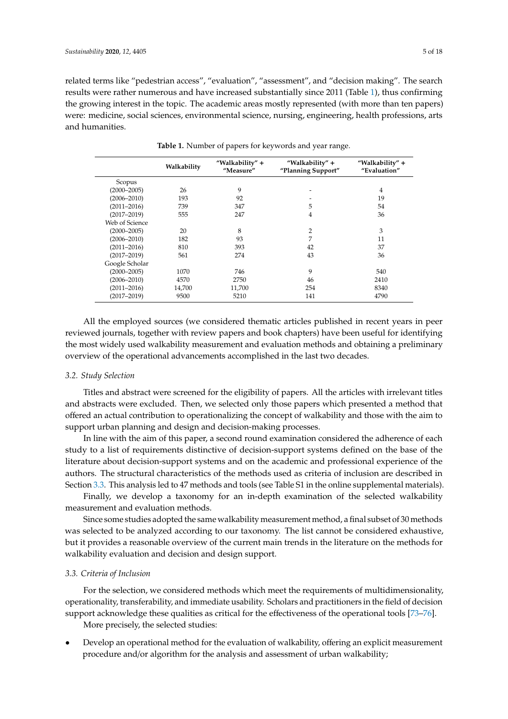related terms like "pedestrian access", "evaluation", "assessment", and "decision making". The search results were rather numerous and have increased substantially since 2011 (Table [1\)](#page-4-0), thus confirming the growing interest in the topic. The academic areas mostly represented (with more than ten papers) were: medicine, social sciences, environmental science, nursing, engineering, health professions, arts and humanities.

<span id="page-4-0"></span>

|                 | Walkability |        | "Walkability" +<br>"Planning Support" | "Walkability" +<br>"Evaluation" |
|-----------------|-------------|--------|---------------------------------------|---------------------------------|
| Scopus          |             |        |                                       |                                 |
| $(2000 - 2005)$ | 26          | 9      |                                       | 4                               |
| $(2006 - 2010)$ | 193         | 92     |                                       | 19                              |
| $(2011 - 2016)$ | 739         | 347    | 5                                     | 54                              |
| $(2017 - 2019)$ | 555         | 247    | 4                                     | 36                              |
| Web of Science  |             |        |                                       |                                 |
| $(2000 - 2005)$ | 20          | 8      | 2                                     | 3                               |
| $(2006 - 2010)$ | 182         | 93     | 7                                     | 11                              |
| $(2011 - 2016)$ | 810         | 393    | 42                                    | 37                              |
| $(2017 - 2019)$ | 561         | 274    | 43                                    | 36                              |
| Google Scholar  |             |        |                                       |                                 |
| $(2000 - 2005)$ | 1070        | 746    | 9                                     | 540                             |
| $(2006 - 2010)$ | 4570        | 2750   | 46                                    | 2410                            |
| $(2011 - 2016)$ | 14,700      | 11,700 | 254                                   | 8340                            |
| $(2017 - 2019)$ | 9500        | 5210   | 141                                   | 4790                            |

**Table 1.** Number of papers for keywords and year range.

All the employed sources (we considered thematic articles published in recent years in peer reviewed journals, together with review papers and book chapters) have been useful for identifying the most widely used walkability measurement and evaluation methods and obtaining a preliminary overview of the operational advancements accomplished in the last two decades.

## *3.2. Study Selection*

Titles and abstract were screened for the eligibility of papers. All the articles with irrelevant titles and abstracts were excluded. Then, we selected only those papers which presented a method that offered an actual contribution to operationalizing the concept of walkability and those with the aim to support urban planning and design and decision-making processes.

In line with the aim of this paper, a second round examination considered the adherence of each study to a list of requirements distinctive of decision-support systems defined on the base of the literature about decision-support systems and on the academic and professional experience of the authors. The structural characteristics of the methods used as criteria of inclusion are described in Section [3.3.](#page-4-1) This analysis led to 47 methods and tools (see Table S1 in the online supplemental materials).

Finally, we develop a taxonomy for an in-depth examination of the selected walkability measurement and evaluation methods.

Since some studies adopted the same walkability measurement method, a final subset of 30 methods was selected to be analyzed according to our taxonomy. The list cannot be considered exhaustive, but it provides a reasonable overview of the current main trends in the literature on the methods for walkability evaluation and decision and design support.

## <span id="page-4-1"></span>*3.3. Criteria of Inclusion*

For the selection, we considered methods which meet the requirements of multidimensionality, operationality, transferability, and immediate usability. Scholars and practitioners in the field of decision support acknowledge these qualities as critical for the effectiveness of the operational tools [\[73](#page-16-9)[–76\]](#page-16-10).

More precisely, the selected studies:

• Develop an operational method for the evaluation of walkability, offering an explicit measurement procedure and/or algorithm for the analysis and assessment of urban walkability;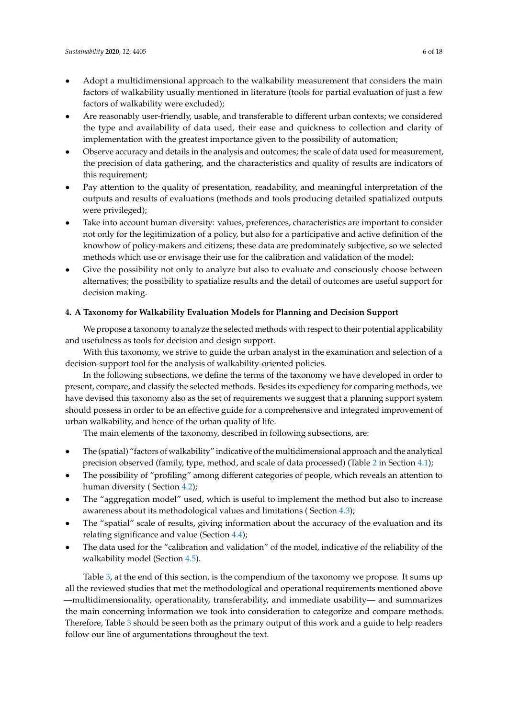- Adopt a multidimensional approach to the walkability measurement that considers the main factors of walkability usually mentioned in literature (tools for partial evaluation of just a few factors of walkability were excluded);
- Are reasonably user-friendly, usable, and transferable to different urban contexts; we considered the type and availability of data used, their ease and quickness to collection and clarity of implementation with the greatest importance given to the possibility of automation;
- Observe accuracy and details in the analysis and outcomes; the scale of data used for measurement, the precision of data gathering, and the characteristics and quality of results are indicators of this requirement;
- Pay attention to the quality of presentation, readability, and meaningful interpretation of the outputs and results of evaluations (methods and tools producing detailed spatialized outputs were privileged);
- Take into account human diversity: values, preferences, characteristics are important to consider not only for the legitimization of a policy, but also for a participative and active definition of the knowhow of policy-makers and citizens; these data are predominately subjective, so we selected methods which use or envisage their use for the calibration and validation of the model;
- Give the possibility not only to analyze but also to evaluate and consciously choose between alternatives; the possibility to spatialize results and the detail of outcomes are useful support for decision making.

## <span id="page-5-0"></span>**4. A Taxonomy for Walkability Evaluation Models for Planning and Decision Support**

We propose a taxonomy to analyze the selected methods with respect to their potential applicability and usefulness as tools for decision and design support.

With this taxonomy, we strive to guide the urban analyst in the examination and selection of a decision-support tool for the analysis of walkability-oriented policies.

In the following subsections, we define the terms of the taxonomy we have developed in order to present, compare, and classify the selected methods. Besides its expediency for comparing methods, we have devised this taxonomy also as the set of requirements we suggest that a planning support system should possess in order to be an effective guide for a comprehensive and integrated improvement of urban walkability, and hence of the urban quality of life.

The main elements of the taxonomy, described in following subsections, are:

- The (spatial) "factors of walkability" indicative of the multidimensional approach and the analytical precision observed (family, type, method, and scale of data processed) (Table [2](#page-6-0) in Section [4.1\)](#page-6-1);
- The possibility of "profiling" among different categories of people, which reveals an attention to human diversity ( Section [4.2\)](#page-8-0);
- The "aggregation model" used, which is useful to implement the method but also to increase awareness about its methodological values and limitations ( Section [4.3\)](#page-8-1);
- The "spatial" scale of results, giving information about the accuracy of the evaluation and its relating significance and value (Section [4.4\)](#page-8-2);
- The data used for the "calibration and validation" of the model, indicative of the reliability of the walkability model (Section [4.5\)](#page-9-0).

Table [3,](#page-10-0) at the end of this section, is the compendium of the taxonomy we propose. It sums up all the reviewed studies that met the methodological and operational requirements mentioned above —multidimensionality, operationality, transferability, and immediate usability— and summarizes the main concerning information we took into consideration to categorize and compare methods. Therefore, Table [3](#page-10-0) should be seen both as the primary output of this work and a guide to help readers follow our line of argumentations throughout the text.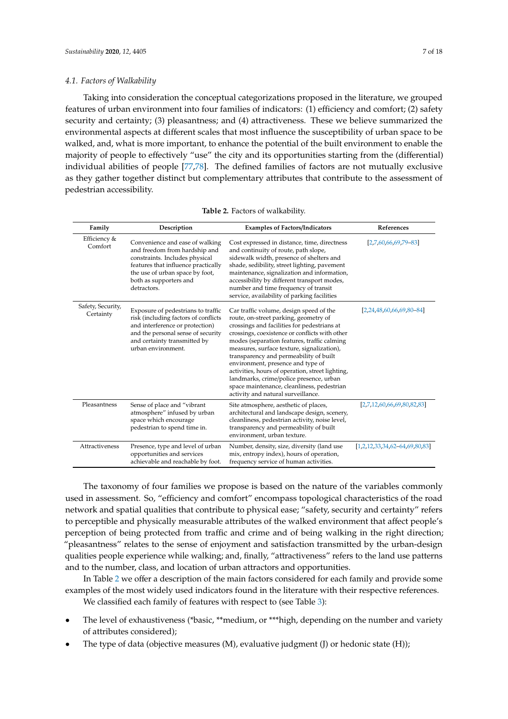#### <span id="page-6-1"></span>*4.1. Factors of Walkability*

Taking into consideration the conceptual categorizations proposed in the literature, we grouped features of urban environment into four families of indicators: (1) efficiency and comfort; (2) safety security and certainty; (3) pleasantness; and (4) attractiveness. These we believe summarized the environmental aspects at different scales that most influence the susceptibility of urban space to be walked, and, what is more important, to enhance the potential of the built environment to enable the majority of people to effectively "use" the city and its opportunities starting from the (differential) individual abilities of people [\[77](#page-16-11)[,78\]](#page-16-12). The defined families of factors are not mutually exclusive as they gather together distinct but complementary attributes that contribute to the assessment of pedestrian accessibility.

<span id="page-6-0"></span>

| Family                         | Description                                                                                                                                                                                                           | <b>Examples of Factors/Indicators</b>                                                                                                                                                                                                                                                                                                                                                                                                                                                                                                            | References                         |
|--------------------------------|-----------------------------------------------------------------------------------------------------------------------------------------------------------------------------------------------------------------------|--------------------------------------------------------------------------------------------------------------------------------------------------------------------------------------------------------------------------------------------------------------------------------------------------------------------------------------------------------------------------------------------------------------------------------------------------------------------------------------------------------------------------------------------------|------------------------------------|
| Efficiency &<br>Comfort        | Convenience and ease of walking<br>and freedom from hardship and<br>constraints. Includes physical<br>features that influence practically<br>the use of urban space by foot,<br>both as supporters and<br>detractors. | Cost expressed in distance, time, directness<br>and continuity of route, path slope,<br>sidewalk width, presence of shelters and<br>shade, sedibility, street lighting, pavement<br>maintenance, signalization and information,<br>accessibility by different transport modes,<br>number and time frequency of transit<br>service, availability of parking facilities                                                                                                                                                                            | $[2,7,60,66,69,79-83]$             |
| Safety, Security,<br>Certainty | Exposure of pedestrians to traffic<br>risk (including factors of conflicts<br>and interference or protection)<br>and the personal sense of security<br>and certainty transmitted by<br>urban environment.             | Car traffic volume, design speed of the<br>route, on-street parking, geometry of<br>crossings and facilities for pedestrians at<br>crossings, coexistence or conflicts with other<br>modes (separation features, traffic calming<br>measures, surface texture, signalization),<br>transparency and permeability of built<br>environment, presence and type of<br>activities, hours of operation, street lighting,<br>landmarks, crime/police presence, urban<br>space maintenance, cleanliness, pedestrian<br>activity and natural surveillance. | $[2, 24, 48, 60, 66, 69, 80 - 84]$ |
| Pleasantness                   | Sense of place and "vibrant<br>atmosphere" infused by urban<br>space which encourage<br>pedestrian to spend time in.                                                                                                  | Site atmosphere, aesthetic of places,<br>architectural and landscape design, scenery,<br>cleanliness, pedestrian activity, noise level,<br>transparency and permeability of built<br>environment, urban texture.                                                                                                                                                                                                                                                                                                                                 | [2,7,12,60,66,69,80,82,83]         |
| Attractiveness                 | Presence, type and level of urban<br>opportunities and services<br>achievable and reachable by foot.                                                                                                                  | Number, density, size, diversity (land use<br>mix, entropy index), hours of operation,<br>frequency service of human activities.                                                                                                                                                                                                                                                                                                                                                                                                                 | $[1,2,12,33,34,62-64,69,80,83]$    |

**Table 2.** Factors of walkability.

The taxonomy of four families we propose is based on the nature of the variables commonly used in assessment. So, "efficiency and comfort" encompass topological characteristics of the road network and spatial qualities that contribute to physical ease; "safety, security and certainty" refers to perceptible and physically measurable attributes of the walked environment that affect people's perception of being protected from traffic and crime and of being walking in the right direction; "pleasantness" relates to the sense of enjoyment and satisfaction transmitted by the urban-design qualities people experience while walking; and, finally, "attractiveness" refers to the land use patterns and to the number, class, and location of urban attractors and opportunities.

In Table [2](#page-6-0) we offer a description of the main factors considered for each family and provide some examples of the most widely used indicators found in the literature with their respective references.

We classified each family of features with respect to (see Table [3\)](#page-10-0):

- The level of exhaustiveness (\*basic, \*\*medium, or \*\*\*high, depending on the number and variety of attributes considered);
- The type of data (objective measures (M), evaluative judgment (J) or hedonic state (H));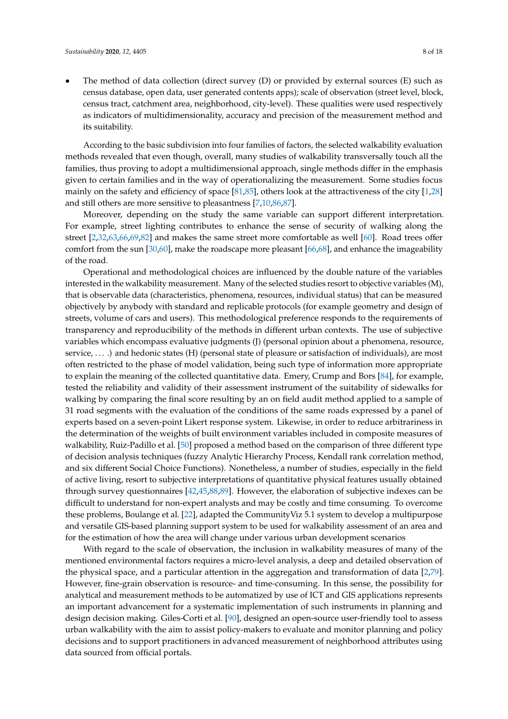The method of data collection (direct survey (D) or provided by external sources (E) such as census database, open data, user generated contents apps); scale of observation (street level, block, census tract, catchment area, neighborhood, city-level). These qualities were used respectively as indicators of multidimensionality, accuracy and precision of the measurement method and its suitability.

According to the basic subdivision into four families of factors, the selected walkability evaluation methods revealed that even though, overall, many studies of walkability transversally touch all the families, thus proving to adopt a multidimensional approach, single methods differ in the emphasis given to certain families and in the way of operationalizing the measurement. Some studies focus mainly on the safety and efficiency of space [\[81](#page-16-18)[,85\]](#page-16-19), others look at the attractiveness of the city [\[1](#page-13-0)[,28\]](#page-14-7) and still others are more sensitive to pleasantness [\[7,](#page-13-3)[10](#page-13-4)[,86](#page-17-0)[,87\]](#page-17-1).

Moreover, depending on the study the same variable can support different interpretation. For example, street lighting contributes to enhance the sense of security of walking along the street [\[2](#page-13-11)[,32,](#page-14-14)[63](#page-15-17)[,66,](#page-16-2)[69](#page-16-5)[,82\]](#page-16-17) and makes the same street more comfortable as well [\[60\]](#page-15-14). Road trees offer comfort from the sun [\[30,](#page-14-15)[60\]](#page-15-14), make the roadscape more pleasant [\[66,](#page-16-2)[68\]](#page-16-4), and enhance the imageability of the road.

Operational and methodological choices are influenced by the double nature of the variables interested in the walkability measurement. Many of the selected studies resort to objective variables (M), that is observable data (characteristics, phenomena, resources, individual status) that can be measured objectively by anybody with standard and replicable protocols (for example geometry and design of streets, volume of cars and users). This methodological preference responds to the requirements of transparency and reproducibility of the methods in different urban contexts. The use of subjective variables which encompass evaluative judgments (J) (personal opinion about a phenomena, resource, service, . . . .) and hedonic states (H) (personal state of pleasure or satisfaction of individuals), are most often restricted to the phase of model validation, being such type of information more appropriate to explain the meaning of the collected quantitative data. Emery, Crump and Bors [\[84\]](#page-16-16), for example, tested the reliability and validity of their assessment instrument of the suitability of sidewalks for walking by comparing the final score resulting by an on field audit method applied to a sample of 31 road segments with the evaluation of the conditions of the same roads expressed by a panel of experts based on a seven-point Likert response system. Likewise, in order to reduce arbitrariness in the determination of the weights of built environment variables included in composite measures of walkability, Ruiz-Padillo et al. [\[50\]](#page-15-18) proposed a method based on the comparison of three different type of decision analysis techniques (fuzzy Analytic Hierarchy Process, Kendall rank correlation method, and six different Social Choice Functions). Nonetheless, a number of studies, especially in the field of active living, resort to subjective interpretations of quantitative physical features usually obtained through survey questionnaires [\[42](#page-14-10)[,45](#page-15-2)[,88](#page-17-2)[,89\]](#page-17-3). However, the elaboration of subjective indexes can be difficult to understand for non-expert analysts and may be costly and time consuming. To overcome these problems, Boulange et al. [\[22\]](#page-14-16), adapted the CommunityViz 5.1 system to develop a multipurpose and versatile GIS-based planning support system to be used for walkability assessment of an area and for the estimation of how the area will change under various urban development scenarios

With regard to the scale of observation, the inclusion in walkability measures of many of the mentioned environmental factors requires a micro-level analysis, a deep and detailed observation of the physical space, and a particular attention in the aggregation and transformation of data [\[2,](#page-13-11)[79\]](#page-16-13). However, fine-grain observation is resource- and time-consuming. In this sense, the possibility for analytical and measurement methods to be automatized by use of ICT and GIS applications represents an important advancement for a systematic implementation of such instruments in planning and design decision making. Giles-Corti et al. [\[90\]](#page-17-4), designed an open-source user-friendly tool to assess urban walkability with the aim to assist policy-makers to evaluate and monitor planning and policy decisions and to support practitioners in advanced measurement of neighborhood attributes using data sourced from official portals.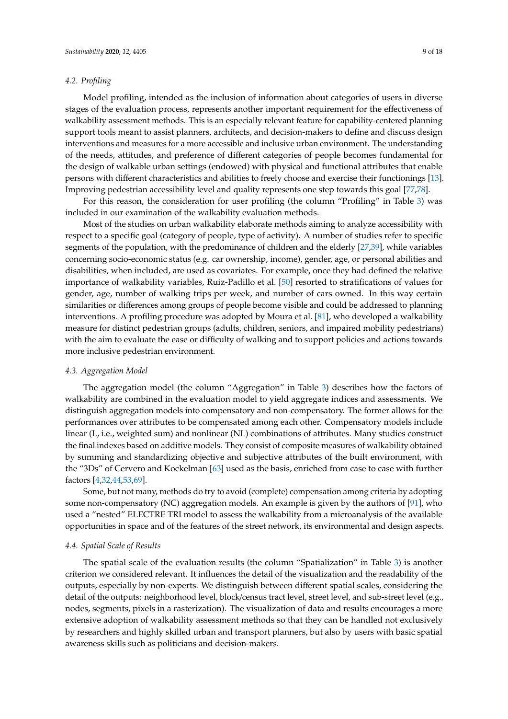## <span id="page-8-0"></span>*4.2. Profiling*

Model profiling, intended as the inclusion of information about categories of users in diverse stages of the evaluation process, represents another important requirement for the effectiveness of walkability assessment methods. This is an especially relevant feature for capability-centered planning support tools meant to assist planners, architects, and decision-makers to define and discuss design interventions and measures for a more accessible and inclusive urban environment. The understanding of the needs, attitudes, and preference of different categories of people becomes fundamental for the design of walkable urban settings (endowed) with physical and functional attributes that enable persons with different characteristics and abilities to freely choose and exercise their functionings [\[13\]](#page-13-6). Improving pedestrian accessibility level and quality represents one step towards this goal [\[77,](#page-16-11)[78\]](#page-16-12).

For this reason, the consideration for user profiling (the column "Profiling" in Table [3\)](#page-10-0) was included in our examination of the walkability evaluation methods.

Most of the studies on urban walkability elaborate methods aiming to analyze accessibility with respect to a specific goal (category of people, type of activity). A number of studies refer to specific segments of the population, with the predominance of children and the elderly [\[27](#page-14-4)[,39\]](#page-14-9), while variables concerning socio-economic status (e.g. car ownership, income), gender, age, or personal abilities and disabilities, when included, are used as covariates. For example, once they had defined the relative importance of walkability variables, Ruiz-Padillo et al. [\[50\]](#page-15-18) resorted to stratifications of values for gender, age, number of walking trips per week, and number of cars owned. In this way certain similarities or differences among groups of people become visible and could be addressed to planning interventions. A profiling procedure was adopted by Moura et al. [\[81\]](#page-16-18), who developed a walkability measure for distinct pedestrian groups (adults, children, seniors, and impaired mobility pedestrians) with the aim to evaluate the ease or difficulty of walking and to support policies and actions towards more inclusive pedestrian environment.

## <span id="page-8-1"></span>*4.3. Aggregation Model*

The aggregation model (the column "Aggregation" in Table [3\)](#page-10-0) describes how the factors of walkability are combined in the evaluation model to yield aggregate indices and assessments. We distinguish aggregation models into compensatory and non-compensatory. The former allows for the performances over attributes to be compensated among each other. Compensatory models include linear (L, i.e., weighted sum) and nonlinear (NL) combinations of attributes. Many studies construct the final indexes based on additive models. They consist of composite measures of walkability obtained by summing and standardizing objective and subjective attributes of the built environment, with the "3Ds" of Cervero and Kockelman [\[63\]](#page-15-17) used as the basis, enriched from case to case with further factors [\[4](#page-13-14)[,32](#page-14-14)[,44](#page-15-1)[,53,](#page-15-9)[69\]](#page-16-5).

Some, but not many, methods do try to avoid (complete) compensation among criteria by adopting some non-compensatory (NC) aggregation models. An example is given by the authors of [\[91\]](#page-17-5), who used a "nested" ELECTRE TRI model to assess the walkability from a microanalysis of the available opportunities in space and of the features of the street network, its environmental and design aspects.

## <span id="page-8-2"></span>*4.4. Spatial Scale of Results*

The spatial scale of the evaluation results (the column "Spatialization" in Table [3\)](#page-10-0) is another criterion we considered relevant. It influences the detail of the visualization and the readability of the outputs, especially by non-experts. We distinguish between different spatial scales, considering the detail of the outputs: neighborhood level, block/census tract level, street level, and sub-street level (e.g., nodes, segments, pixels in a rasterization). The visualization of data and results encourages a more extensive adoption of walkability assessment methods so that they can be handled not exclusively by researchers and highly skilled urban and transport planners, but also by users with basic spatial awareness skills such as politicians and decision-makers.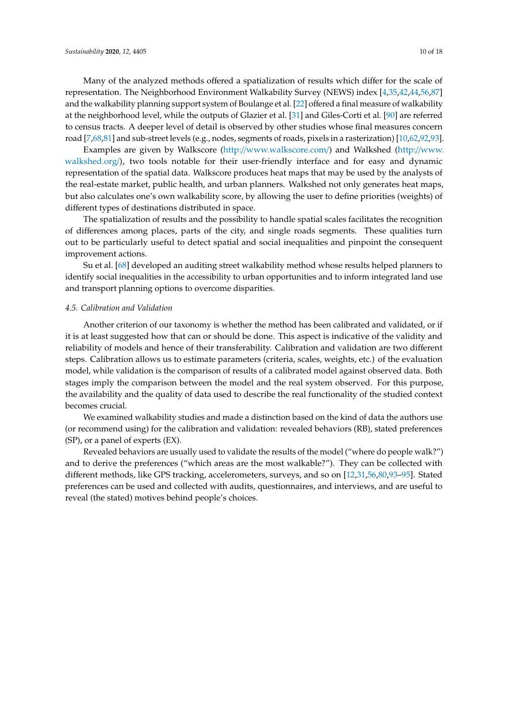Many of the analyzed methods offered a spatialization of results which differ for the scale of representation. The Neighborhood Environment Walkability Survey (NEWS) index [\[4,](#page-13-14)[35,](#page-14-17)[42,](#page-14-10)[44,](#page-15-1)[56](#page-15-12)[,87\]](#page-17-1) and the walkability planning support system of Boulange et al. [\[22\]](#page-14-16) offered a final measure of walkability at the neighborhood level, while the outputs of Glazier et al. [\[31\]](#page-14-18) and Giles-Corti et al. [\[90\]](#page-17-4) are referred to census tracts. A deeper level of detail is observed by other studies whose final measures concern road [\[7,](#page-13-3)[68](#page-16-4)[,81\]](#page-16-18) and sub-street levels (e.g., nodes, segments of roads, pixels in a rasterization) [\[10,](#page-13-4)[62](#page-15-16)[,92](#page-17-6)[,93\]](#page-17-7).

Examples are given by Walkscore (http://[www.walkscore.com](http://www.walkscore.com/)/) and Walkshed (http://[www.](http://www.walkshed.org/) [walkshed.org](http://www.walkshed.org/)/), two tools notable for their user-friendly interface and for easy and dynamic representation of the spatial data. Walkscore produces heat maps that may be used by the analysts of the real-estate market, public health, and urban planners. Walkshed not only generates heat maps, but also calculates one's own walkability score, by allowing the user to define priorities (weights) of different types of destinations distributed in space.

The spatialization of results and the possibility to handle spatial scales facilitates the recognition of differences among places, parts of the city, and single roads segments. These qualities turn out to be particularly useful to detect spatial and social inequalities and pinpoint the consequent improvement actions.

Su et al. [\[68\]](#page-16-4) developed an auditing street walkability method whose results helped planners to identify social inequalities in the accessibility to urban opportunities and to inform integrated land use and transport planning options to overcome disparities.

#### <span id="page-9-0"></span>*4.5. Calibration and Validation*

Another criterion of our taxonomy is whether the method has been calibrated and validated, or if it is at least suggested how that can or should be done. This aspect is indicative of the validity and reliability of models and hence of their transferability. Calibration and validation are two different steps. Calibration allows us to estimate parameters (criteria, scales, weights, etc.) of the evaluation model, while validation is the comparison of results of a calibrated model against observed data. Both stages imply the comparison between the model and the real system observed. For this purpose, the availability and the quality of data used to describe the real functionality of the studied context becomes crucial.

We examined walkability studies and made a distinction based on the kind of data the authors use (or recommend using) for the calibration and validation: revealed behaviors (RB), stated preferences (SP), or a panel of experts (EX).

Revealed behaviors are usually used to validate the results of the model ("where do people walk?") and to derive the preferences ("which areas are the most walkable?"). They can be collected with different methods, like GPS tracking, accelerometers, surveys, and so on [\[12](#page-13-5)[,31](#page-14-18)[,56](#page-15-12)[,80](#page-16-15)[,93–](#page-17-7)[95\]](#page-17-8). Stated preferences can be used and collected with audits, questionnaires, and interviews, and are useful to reveal (the stated) motives behind people's choices.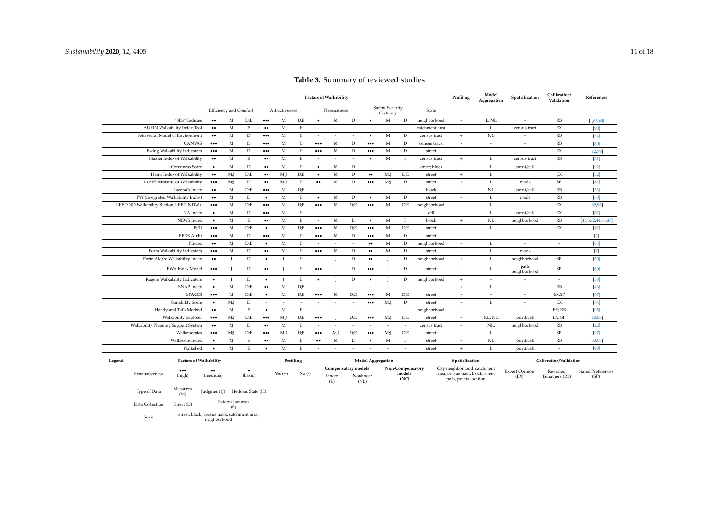<span id="page-10-0"></span>

|                                         |                                                              |                                |                         |                         |                |                         |                          |                               |                          |                          |                               |                  |                |                                                            | Model       |                          | Calibration/           |                           |
|-----------------------------------------|--------------------------------------------------------------|--------------------------------|-------------------------|-------------------------|----------------|-------------------------|--------------------------|-------------------------------|--------------------------|--------------------------|-------------------------------|------------------|----------------|------------------------------------------------------------|-------------|--------------------------|------------------------|---------------------------|
|                                         |                                                              |                                |                         |                         |                |                         |                          | <b>Factors of Walkability</b> |                          |                          |                               |                  |                | Profiling                                                  | Aggregation | Spatialization           | Validation             | References                |
|                                         | Efficiency and Comfort                                       |                                |                         |                         | Attractiveness |                         |                          | Pleasantness                  |                          |                          | Safety, Security<br>Certainty |                  | Scale          |                                                            |             |                          |                        |                           |
| "3Ds" Indexes                           | $\bullet\bullet$                                             | M                              | D:E                     | $\bullet\bullet\bullet$ | M              | D;E                     | $\bullet$                | $_{\rm M}$                    | $\mathbf D$              | $\bullet$                | $_{\rm M}$                    | $\mathbf D$      | neighborhood   | $\sim$                                                     | L; NL       | $\sim$                   | RB                     | [1,63,64]                 |
| <b>AURIN Walkability Index Tool</b>     | $\bullet\bullet$                                             | M                              | $\mathop{\hbox{\bf E}}$ |                         | M              | $\mathbf E$             | $\sim$                   | $\sim$                        | $\sim$                   | $\sim$                   | $\sim$                        | $\sim$           | catchment area | $\overline{\phantom{a}}$                                   | L           | census tract             | EX                     | [90]                      |
| Behavioral Model of Environment         | $\bullet\bullet$                                             | $\mathbf{M}$                   | D                       | $\ddotsc$               | M              | D                       | $\sim$                   | ٠                             | $\overline{\phantom{a}}$ | $\bullet$                | M                             | D                | census tract   | $+$                                                        | NL          | ٠                        | RB                     | $[34]$                    |
| <b>CANVAS</b>                           | $\bullet\bullet\bullet$                                      | M                              | D                       | $\bullet\bullet\bullet$ | M              | D                       | $\bullet\bullet\bullet$  | M                             | $\mathbf{D}$             | $\bullet\bullet\bullet$  | M                             | D                | census track   | ÷,                                                         | $\sim$      | ÷,                       | RB                     | [80]                      |
| Ewing Walkability Indicators            | $\bullet\bullet\bullet$                                      | M                              | D                       | $\bullet\bullet\bullet$ | M              | D                       | $\cdots$                 | M                             | $\mathbf D$              | $\bullet\bullet\bullet$  | M                             | D                | street         | $\sim$                                                     | $\sim$      | ÷,                       | $\mathbf{E}\mathbf{X}$ | [12, 79]                  |
| Glazier Index of Walkability            | $\bullet\bullet$                                             | M                              | $\mathop{\hbox{\bf E}}$ | $\bullet\bullet$        | M              | E                       | $\overline{\phantom{a}}$ | ÷.                            | ÷.                       | $\bullet$                | M                             | $\mathbf E$      | census tract   | $\,$ +                                                     | L           | census tract             | RB                     | $[31]$                    |
| <b>Greenness Score</b>                  | $\bullet$                                                    | M                              | D                       | $\bullet\bullet$        | M              | D                       | $\bullet$                | M                             | D                        | $\sim$                   | $\sim$                        | $\sim$           | street; block  | $\sim$                                                     | L           | point/cell               | $\sim$                 | $[92]$                    |
| Hajna Index of Walkability              | $\bullet\bullet$                                             | M,J                            | D:E                     | $\bullet\bullet$        | M,J            | D;E                     | $\bullet$                | $_{\rm M}$                    | $\mathbf D$              | $\bullet\bullet$         | M,J                           | D;E              | street         | $\,$ + $\,$                                                | $\mathbf L$ |                          | EX                     | $[32]$                    |
| <b>IAAPE Measure of Walkability</b>     | $\bullet\bullet\bullet$                                      | M;                             | $\mathbf D$             | $\bullet\bullet$        | M,J            | $\mathbf D$             | $\bullet\bullet$         | $_{\rm M}$                    | $\mathbf D$              | $\bullet\bullet\bullet$  | M;                            | $\mathbf D$      | street         | $+$                                                        | $\mathbf L$ | roads                    | $\rm SP$               | [81]                      |
| Iacono's Index                          | $\bullet\bullet$                                             | M                              | D:E                     | $\cdots$                | $\mathbf M$    | D:E                     | $\sim$                   | ×                             | $\sim$                   | $\sim$                   | $\sim$                        | $\sim$           | block          | $\sim$                                                     | NL          | point/cell               | RB                     | $[33]$                    |
| IWI (Integrated Walkability Index)      | $\bullet\bullet$                                             | M                              | D                       | $\bullet$               | M              | D                       | $\bullet$                | M                             | $\mathbf D$              | ٠                        | M                             | D                | street         | $\sim$                                                     | $\mathbf L$ | roads                    | RB                     | [68]                      |
| LEED ND Walkability Section, LEED-NDW+  | $\bullet\bullet\bullet$                                      | M                              | D: E                    | $\ddotsc$               | M              | D:E                     | $\bullet\bullet\bullet$  | M                             | D,E                      | $\bullet\bullet\bullet$  | M                             | D;E              | neighborhood   | $\overline{\phantom{a}}$                                   | L           | ÷.                       | EX                     | [69, 96]                  |
| NA Index                                | $\bullet$                                                    | M                              | D                       | $\bullet\bullet\bullet$ | $\mathbf M$    | D                       | $\overline{\phantom{a}}$ | $\overline{\phantom{a}}$      | $\sim$                   | $\sim$                   | $\overline{\phantom{a}}$      | $\sim$           | cell           |                                                            | $\mathbf L$ | point/cell               | $\mathbf{E}\mathbf{X}$ | [62]                      |
| NEWS Index                              | $\bullet$                                                    | M                              | $\mathbf E$             | $\bullet\bullet$        | M              | $\mathbf E$             | $\sim$                   | M                             | $\mathbf E$              | $\bullet$                | M                             | $\mathbf E$      | block          | $+$                                                        | NL          | neighborhood             | RB                     | [4,35,42,44,56,87]        |
| PCH                                     | $\bullet\bullet\bullet$                                      | M                              | D: E                    | $\bullet$               | M              | D:E                     | $\bullet\bullet\bullet$  | M                             | D:E                      | $\bullet\bullet\bullet$  | M                             | D;E              | street         | $\sim$                                                     | L           |                          | EX                     | $[82]$                    |
| PEDS Audit                              | $\bullet\bullet\bullet$                                      | M                              | D                       | $\cdots$                | M              | D                       | $\bullet\bullet\bullet$  | M                             | D                        | $\bullet\bullet\bullet$  | M                             | D                | street         | $\overline{\phantom{a}}$                                   | $\sim$      | ٠                        | $\sim$                 | $[2]$                     |
| PIndex                                  | $\bullet\bullet$                                             | M                              | D:E                     | $\bullet$               | $_{\rm M}$     | $\mathbf D$             | $\sim$                   | ÷,                            | ÷,                       | $\bullet\bullet$         | M                             | $\mathbf D$      | neighborhood   | $\overline{\phantom{a}}$                                   | L           | $\overline{\phantom{a}}$ | $\sim$                 | [85]                      |
| Porta Walkability Indicators            | $\bullet\bullet\bullet$                                      | M                              | $\mathbf D$             | $\bullet\bullet$        | $\mathbf M$    | $\mathbf D$             | $\cdots$                 | $\mathbf M$                   | $\mathbf D$              | $\bullet\bullet$         | $_{\rm M}$                    | $\mathbf D$      | street         | $\overline{\phantom{a}}$                                   | $\mathbf L$ | roads                    | $\sim$                 | $[7]$                     |
| Porto Alegre Walkability Index          | $\bullet\bullet$                                             |                                | $\mathbf D$             | $\bullet$               |                | $\mathbf D$             | $\sim$                   |                               | $\mathbf D$              | $\bullet\bullet$         | $\mathbf I$                   | $\mathbf D$      | neighborhood   | $\,$ + $\,$                                                | $\mathbf L$ | neighborhood             | ${\rm SP}$             | $[50]$                    |
| PWA Index Model                         | $\bullet\bullet\bullet$                                      |                                | $\mathbf D$             |                         |                | D                       | $\bullet\bullet\bullet$  |                               | $\mathbf{D}$             | $\bullet\bullet\bullet$  | $\mathbf I$                   | $\mathbf D$      | street         | $\overline{\phantom{a}}$                                   | L           | path;<br>neighborhood    | $\rm SP$               | [60]                      |
| Rogers Walkability Indicators           | $\bullet$                                                    | $\mathbf{I}$                   | $\mathbf D$             | $\bullet$               | $\mathbf{I}$   | $\mathbf D$             | $\bullet$                |                               | $\mathbf D$              | $\bullet$                | $\mathbf{I}$                  | D                | neighborhood   | $+$                                                        | $\sim$      | $\sim$                   | $\sim$                 | $[58]$                    |
| <b>SNAP</b> Index                       | $\bullet$                                                    | M                              | D;E                     | $\bullet\bullet$        | M              | D:E                     | $\sim$                   | $\overline{\phantom{a}}$      | $\sim$                   | $\sim$                   | $\sim$                        | $\sim$           | $\sim$         | $\,$ +                                                     | L           | $\sim$                   | RB                     | $[46]$                    |
| <b>SPACES</b>                           | $\bullet\bullet\bullet$                                      | M                              | D;E                     | $\bullet$               | M              | D;E                     | $\bullet\bullet\bullet$  | M                             | D;E                      | $\bullet\bullet\bullet$  | M                             | D;E              | street         | $\sim$                                                     | $\sim$      | $\sim$                   | EX;SP                  | $[67]$                    |
| Suitability Score                       | $\bullet$                                                    | M;                             | $\mathbf D$             | ÷.                      | $\sim$         | $\sim$                  | $\sim$                   | ÷.                            | $\sim$                   | $\bullet\bullet\bullet$  | M;                            | D                | street         | ÷.                                                         | L           | ÷.                       | $\mathbf{E}\mathbf{X}$ | $[84]$                    |
| Handy and Tal's Method                  | $\bullet\bullet$                                             | M                              | $\mathop{\hbox{\bf E}}$ | $\bullet$               | $_{\rm M}$     | $\mathop{\hbox{\bf E}}$ | $\sim$                   | ٠                             | $\sim$                   | $\sim$                   | $\sim$                        | $\sim$           | neighborhood   | $\sim$                                                     | $\sim$      | $\sim$                   | EX; RB                 | $[95]$                    |
| Walkability Explorer                    | $\bullet\bullet\bullet$                                      | M,J                            | D/E                     | $\ddotsc$               | M,J            | D;E                     |                          |                               | D,E                      | $\bullet\bullet\bullet$  | M,J                           | D;E              | street         | $\sim$                                                     | NL; NC      | point/cell               | EX; SP                 | [10, 83]                  |
| Walkability Planning Support System     | $\bullet\bullet$                                             | $\mathbf{M}$                   | D                       | $\bullet\bullet$        | M              | D                       | $\sim$                   | ÷.                            | $\sim$                   | $\sim$                   | $\sim$                        | $\sim$           | census tract   | $\sim$                                                     | NL;         | neighborhood             | RB                     | $[22]$                    |
| Walkonomics                             | $\bullet\bullet\bullet$                                      | M <sub>i</sub>                 | D:E                     | $\cdots$                | M;             | D:E                     | $\bullet\bullet\bullet$  | M;                            | D:E                      | $\bullet\bullet\bullet$  | M;                            | D;E              | street         |                                                            | $\mathbf L$ |                          | $\rm SP$               | $[97]$                    |
| Walkscore Index                         | $\bullet$                                                    | M                              | E                       | $\bullet\bullet$        | $\mathbf M$    | $\mathbf E$             | $\bullet\bullet$         | M                             | $\mathbf E$              | $\bullet$                | M                             | $\mathbf E$      | street         | $\overline{\phantom{a}}$                                   | NL          | point/cell               | RB                     | [53, 93]                  |
| Walkshed                                | $\bullet$                                                    | M                              | $\mathbf E$             | $\bullet$               | $\mathbf{M}$   | $\mathbf E$             | $\sim$                   | $\sim$                        | $\sim$                   | $\sim$                   | $\sim$                        | $\sim$           | street         | $\ddot{+}$                                                 | $\mathbf L$ | point/cell               | ÷.                     | $[98]$                    |
| <b>Factors of Walkability</b><br>Legend |                                                              |                                |                         |                         |                | Profiling               |                          |                               |                          | <b>Model Aggregation</b> |                               |                  |                | Spatialization                                             |             |                          | Calibration/Validation |                           |
| $\bullet\bullet\bullet$                 | $\bullet\bullet$                                             |                                | $\bullet$               |                         |                |                         |                          | Compensatory models           |                          |                          |                               | Non-Compensatory |                | City neighborhood, catchment                               |             | <b>Expert Opinion</b>    | Revealed               | <b>Stated Preferences</b> |
| Exhaustiveness<br>(high)                | (medium)                                                     |                                | (basic)                 |                         | Yes $(+)$      | $No(-)$                 |                          | Linear<br>(L)                 |                          | Nonlinear<br>(NL)        | models<br>(NC)                |                  |                | area, census tract, block, street<br>path, points location | (EX)        |                          | Behaviors (RB)         | (SP)                      |
| Measures<br>Type of Data<br>(M)         | Judgment (J)                                                 |                                | Hedonic State (H)       |                         |                |                         |                          |                               |                          |                          |                               |                  |                |                                                            |             |                          |                        |                           |
| Data Collection<br>Direct (D)           |                                                              | <b>External</b> sources<br>(E) |                         |                         |                |                         |                          |                               |                          |                          |                               |                  |                |                                                            |             |                          |                        |                           |
| Scale                                   | street, block, census track, catchment area,<br>neighborhood |                                |                         |                         |                |                         |                          |                               |                          |                          |                               |                  |                |                                                            |             |                          |                        |                           |
|                                         |                                                              |                                |                         |                         |                |                         |                          |                               |                          |                          |                               |                  |                |                                                            |             |                          |                        |                           |

## **Table 3.** Summary of reviewed studies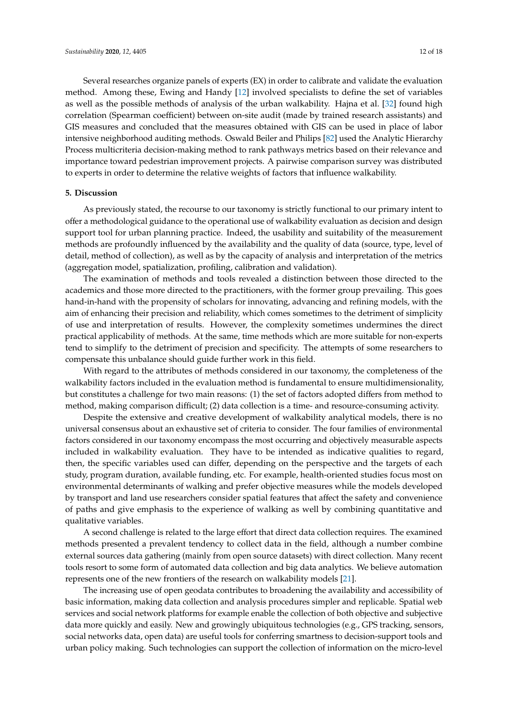Several researches organize panels of experts (EX) in order to calibrate and validate the evaluation method. Among these, Ewing and Handy [\[12\]](#page-13-5) involved specialists to define the set of variables

as well as the possible methods of analysis of the urban walkability. Hajna et al. [\[32\]](#page-14-14) found high correlation (Spearman coefficient) between on-site audit (made by trained research assistants) and GIS measures and concluded that the measures obtained with GIS can be used in place of labor intensive neighborhood auditing methods. Oswald Beiler and Philips [\[82\]](#page-16-17) used the Analytic Hierarchy Process multicriteria decision-making method to rank pathways metrics based on their relevance and importance toward pedestrian improvement projects. A pairwise comparison survey was distributed to experts in order to determine the relative weights of factors that influence walkability.

#### <span id="page-11-0"></span>**5. Discussion**

As previously stated, the recourse to our taxonomy is strictly functional to our primary intent to offer a methodological guidance to the operational use of walkability evaluation as decision and design support tool for urban planning practice. Indeed, the usability and suitability of the measurement methods are profoundly influenced by the availability and the quality of data (source, type, level of detail, method of collection), as well as by the capacity of analysis and interpretation of the metrics (aggregation model, spatialization, profiling, calibration and validation).

The examination of methods and tools revealed a distinction between those directed to the academics and those more directed to the practitioners, with the former group prevailing. This goes hand-in-hand with the propensity of scholars for innovating, advancing and refining models, with the aim of enhancing their precision and reliability, which comes sometimes to the detriment of simplicity of use and interpretation of results. However, the complexity sometimes undermines the direct practical applicability of methods. At the same, time methods which are more suitable for non-experts tend to simplify to the detriment of precision and specificity. The attempts of some researchers to compensate this unbalance should guide further work in this field.

With regard to the attributes of methods considered in our taxonomy, the completeness of the walkability factors included in the evaluation method is fundamental to ensure multidimensionality, but constitutes a challenge for two main reasons: (1) the set of factors adopted differs from method to method, making comparison difficult; (2) data collection is a time- and resource-consuming activity.

Despite the extensive and creative development of walkability analytical models, there is no universal consensus about an exhaustive set of criteria to consider. The four families of environmental factors considered in our taxonomy encompass the most occurring and objectively measurable aspects included in walkability evaluation. They have to be intended as indicative qualities to regard, then, the specific variables used can differ, depending on the perspective and the targets of each study, program duration, available funding, etc. For example, health-oriented studies focus most on environmental determinants of walking and prefer objective measures while the models developed by transport and land use researchers consider spatial features that affect the safety and convenience of paths and give emphasis to the experience of walking as well by combining quantitative and qualitative variables.

A second challenge is related to the large effort that direct data collection requires. The examined methods presented a prevalent tendency to collect data in the field, although a number combine external sources data gathering (mainly from open source datasets) with direct collection. Many recent tools resort to some form of automated data collection and big data analytics. We believe automation represents one of the new frontiers of the research on walkability models [\[21\]](#page-14-0).

The increasing use of open geodata contributes to broadening the availability and accessibility of basic information, making data collection and analysis procedures simpler and replicable. Spatial web services and social network platforms for example enable the collection of both objective and subjective data more quickly and easily. New and growingly ubiquitous technologies (e.g., GPS tracking, sensors, social networks data, open data) are useful tools for conferring smartness to decision-support tools and urban policy making. Such technologies can support the collection of information on the micro-level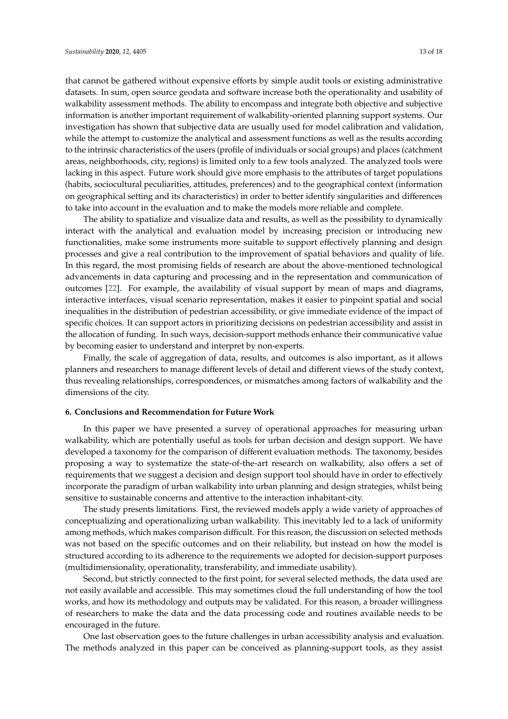that cannot be gathered without expensive efforts by simple audit tools or existing administrative datasets. In sum, open source geodata and software increase both the operationality and usability of walkability assessment methods. The ability to encompass and integrate both objective and subjective information is another important requirement of walkability-oriented planning support systems. Our investigation has shown that subjective data are usually used for model calibration and validation, while the attempt to customize the analytical and assessment functions as well as the results according to the intrinsic characteristics of the users (profile of individuals or social groups) and places (catchment areas, neighborhoods, city, regions) is limited only to a few tools analyzed. The analyzed tools were lacking in this aspect. Future work should give more emphasis to the attributes of target populations (habits, sociocultural peculiarities, attitudes, preferences) and to the geographical context (information on geographical setting and its characteristics) in order to better identify singularities and differences to take into account in the evaluation and to make the models more reliable and complete.

The ability to spatialize and visualize data and results, as well as the possibility to dynamically interact with the analytical and evaluation model by increasing precision or introducing new functionalities, make some instruments more suitable to support effectively planning and design processes and give a real contribution to the improvement of spatial behaviors and quality of life. In this regard, the most promising fields of research are about the above-mentioned technological advancements in data capturing and processing and in the representation and communication of outcomes [\[22\]](#page-14-16). For example, the availability of visual support by mean of maps and diagrams, interactive interfaces, visual scenario representation, makes it easier to pinpoint spatial and social inequalities in the distribution of pedestrian accessibility, or give immediate evidence of the impact of specific choices. It can support actors in prioritizing decisions on pedestrian accessibility and assist in the allocation of funding. In such ways, decision-support methods enhance their communicative value by becoming easier to understand and interpret by non-experts.

Finally, the scale of aggregation of data, results, and outcomes is also important, as it allows planners and researchers to manage different levels of detail and different views of the study context, thus revealing relationships, correspondences, or mismatches among factors of walkability and the dimensions of the city.

## **6. Conclusions and Recommendation for Future Work**

In this paper we have presented a survey of operational approaches for measuring urban walkability, which are potentially useful as tools for urban decision and design support. We have developed a taxonomy for the comparison of different evaluation methods. The taxonomy, besides proposing a way to systematize the state-of-the-art research on walkability, also offers a set of requirements that we suggest a decision and design support tool should have in order to effectively incorporate the paradigm of urban walkability into urban planning and design strategies, whilst being sensitive to sustainable concerns and attentive to the interaction inhabitant-city.

The study presents limitations. First, the reviewed models apply a wide variety of approaches of conceptualizing and operationalizing urban walkability. This inevitably led to a lack of uniformity among methods, which makes comparison difficult. For this reason, the discussion on selected methods was not based on the specific outcomes and on their reliability, but instead on how the model is structured according to its adherence to the requirements we adopted for decision-support purposes (multidimensionality, operationality, transferability, and immediate usability).

Second, but strictly connected to the first point, for several selected methods, the data used are not easily available and accessible. This may sometimes cloud the full understanding of how the tool works, and how its methodology and outputs may be validated. For this reason, a broader willingness of researchers to make the data and the data processing code and routines available needs to be encouraged in the future.

One last observation goes to the future challenges in urban accessibility analysis and evaluation. The methods analyzed in this paper can be conceived as planning-support tools, as they assist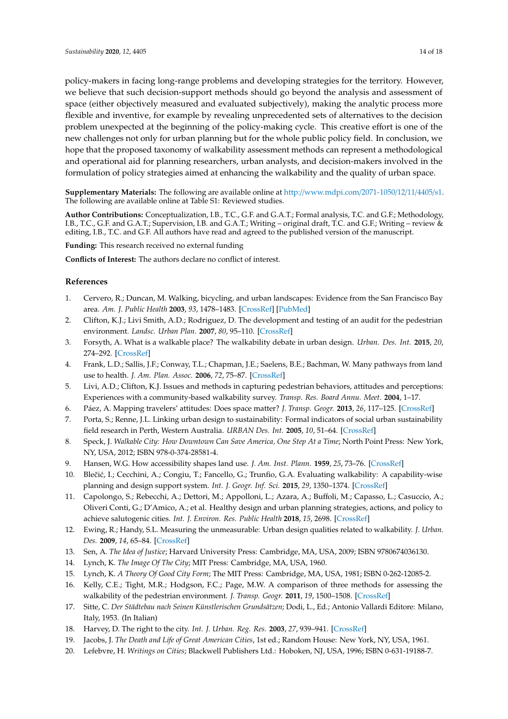<span id="page-13-18"></span><span id="page-13-15"></span>policy-makers in facing long-range problems and developing strategies for the territory. However, we believe that such decision-support methods should go beyond the analysis and assessment of space (either objectively measured and evaluated subjectively), making the analytic process more flexible and inventive, for example by revealing unprecedented sets of alternatives to the decision problem unexpected at the beginning of the policy-making cycle. This creative effort is one of the new challenges not only for urban planning but for the whole public policy field. In conclusion, we hope that the proposed taxonomy of walkability assessment methods can represent a methodological and operational aid for planning researchers, urban analysts, and decision-makers involved in the formulation of policy strategies aimed at enhancing the walkability and the quality of urban space.

<span id="page-13-17"></span>**Supplementary Materials:** The following are available online at http://[www.mdpi.com](http://www.mdpi.com/2071-1050/12/11/4405/s1)/2071-1050/12/11/4405/s1. The following are available online at Table S1: Reviewed studies.

<span id="page-13-19"></span>**Author Contributions:** Conceptualization, I.B., T.C., G.F. and G.A.T.; Formal analysis, T.C. and G.F.; Methodology, I.B., T.C., G.F. and G.A.T.; Supervision, I.B. and G.A.T.; Writing – original draft, T.C. and G.F.; Writing – review & editing, I.B., T.C. and G.F. All authors have read and agreed to the published version of the manuscript.

**Funding:** This research received no external funding

<span id="page-13-20"></span>**Conflicts of Interest:** The authors declare no conflict of interest.

## **References**

- <span id="page-13-0"></span>1. Cervero, R.; Duncan, M. Walking, bicycling, and urban landscapes: Evidence from the San Francisco Bay area. *Am. J. Public Health* **2003**, *93*, 1478–1483. [\[CrossRef\]](http://dx.doi.org/10.2105/AJPH.93.9.1478) [\[PubMed\]](http://www.ncbi.nlm.nih.gov/pubmed/12948966)
- <span id="page-13-16"></span><span id="page-13-11"></span>2. Clifton, K.J.; Livi Smith, A.D.; Rodriguez, D. The development and testing of an audit for the pedestrian environment. *Landsc. Urban Plan.* **2007**, *80*, 95–110. [\[CrossRef\]](http://dx.doi.org/10.1016/j.landurbplan.2006.06.008)
- <span id="page-13-12"></span>3. Forsyth, A. What is a walkable place? The walkability debate in urban design. *Urban. Des. Int.* **2015**, *20*, 274–292. [\[CrossRef\]](http://dx.doi.org/10.1057/udi.2015.22)
- <span id="page-13-14"></span>4. Frank, L.D.; Sallis, J.F.; Conway, T.L.; Chapman, J.E.; Saelens, B.E.; Bachman, W. Many pathways from land use to health. *J. Am. Plan. Assoc.* **2006**, *72*, 75–87. [\[CrossRef\]](http://dx.doi.org/10.1080/01944360608976725)
- 5. Livi, A.D.; Clifton, K.J. Issues and methods in capturing pedestrian behaviors, attitudes and perceptions: Experiences with a community-based walkability survey. *Transp. Res. Board Annu. Meet.* **2004**, 1–17.
- 6. Páez, A. Mapping travelers' attitudes: Does space matter? *J. Transp. Geogr.* **2013**, *26*, 117–125. [\[CrossRef\]](http://dx.doi.org/10.1016/j.jtrangeo.2012.09.002)
- <span id="page-13-3"></span>7. Porta, S.; Renne, J.L. Linking urban design to sustainability: Formal indicators of social urban sustainability field research in Perth, Western Australia. *URBAN Des. Int.* **2005**, *10*, 51–64. [\[CrossRef\]](http://dx.doi.org/10.1057/palgrave.udi.9000136)
- <span id="page-13-1"></span>8. Speck, J. *Walkable City: How Downtown Can Save America, One Step At a Time*; North Point Press: New York, NY, USA, 2012; ISBN 978-0-374-28581-4.
- <span id="page-13-2"></span>9. Hansen, W.G. How accessibility shapes land use. *J. Am. Inst. Plann.* **1959**, *25*, 73–76. [\[CrossRef\]](http://dx.doi.org/10.1080/01944365908978307)
- <span id="page-13-4"></span>10. Blečić, I.; Cecchini, A.; Congiu, T.; Fancello, G.; Trunfio, G.A. Evaluating walkability: A capability-wise planning and design support system. *Int. J. Geogr. Inf. Sci.* **2015**, *29*, 1350–1374. [\[CrossRef\]](http://dx.doi.org/10.1080/13658816.2015.1026824)
- 11. Capolongo, S.; Rebecchi, A.; Dettori, M.; Appolloni, L.; Azara, A.; Buffoli, M.; Capasso, L.; Casuccio, A.; Oliveri Conti, G.; D'Amico, A.; et al. Healthy design and urban planning strategies, actions, and policy to achieve salutogenic cities. *Int. J. Environ. Res. Public Health* **2018**, *15*, 2698. [\[CrossRef\]](http://dx.doi.org/10.3390/ijerph15122698)
- <span id="page-13-5"></span>12. Ewing, R.; Handy, S.L. Measuring the unmeasurable: Urban design qualities related to walkability. *J. Urban. Des.* **2009**, *14*, 65–84. [\[CrossRef\]](http://dx.doi.org/10.1080/13574800802451155)
- <span id="page-13-6"></span>13. Sen, A. *The Idea of Justice*; Harvard University Press: Cambridge, MA, USA, 2009; ISBN 9780674036130.
- <span id="page-13-7"></span>14. Lynch, K. *The Image Of The City*; MIT Press: Cambridge, MA, USA, 1960.
- 15. Lynch, K. *A Theory Of Good City Form*; The MIT Press: Cambridge, MA, USA, 1981; ISBN 0-262-12085-2.
- <span id="page-13-13"></span>16. Kelly, C.E.; Tight, M.R.; Hodgson, F.C.; Page, M.W. A comparison of three methods for assessing the walkability of the pedestrian environment. *J. Transp. Geogr.* **2011**, *19*, 1500–1508. [\[CrossRef\]](http://dx.doi.org/10.1016/j.jtrangeo.2010.08.001)
- <span id="page-13-8"></span>17. Sitte, C. *Der Städtebau nach Seinen Künstlerischen Grundsätzen*; Dodi, L., Ed.; Antonio Vallardi Editore: Milano, Italy, 1953. (In Italian)
- <span id="page-13-9"></span>18. Harvey, D. The right to the city. *Int. J. Urban. Reg. Res.* **2003**, *27*, 939–941. [\[CrossRef\]](http://dx.doi.org/10.1111/j.0309-1317.2003.00492.x)
- 19. Jacobs, J. *The Death and Life of Great American Cities*, 1st ed.; Random House: New York, NY, USA, 1961.
- <span id="page-13-10"></span>20. Lefebvre, H. *Writings on Cities*; Blackwell Publishers Ltd.: Hoboken, NJ, USA, 1996; ISBN 0-631-19188-7.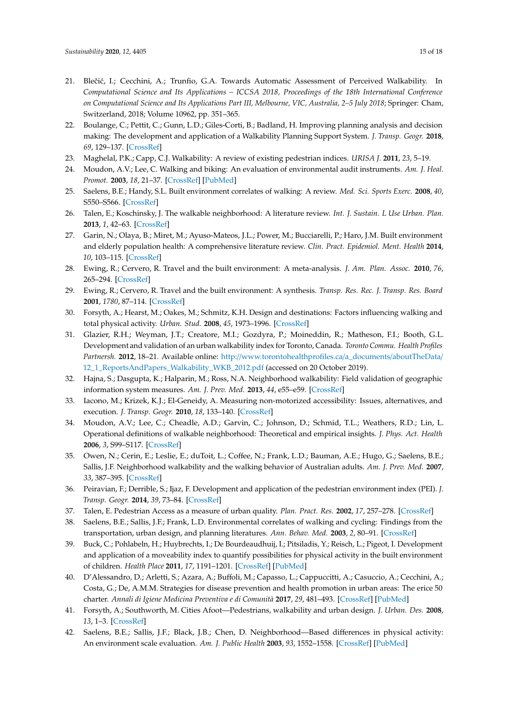- <span id="page-14-23"></span><span id="page-14-0"></span>21. Blečić, I.; Cecchini, A.; Trunfio, G.A. Towards Automatic Assessment of Perceived Walkability. In *Computational Science and Its Applications – ICCSA 2018, Proceedings of the 18th International Conference on Computational Science and Its Applications Part III, Melbourne, VIC, Australia, 2–5 July 2018*; Springer: Cham, Switzerland, 2018; Volume 10962, pp. 351–365.
- <span id="page-14-20"></span><span id="page-14-16"></span>22. Boulange, C.; Pettit, C.; Gunn, L.D.; Giles-Corti, B.; Badland, H. Improving planning analysis and decision making: The development and application of a Walkability Planning Support System. *J. Transp. Geogr.* **2018**, *69*, 129–137. [\[CrossRef\]](http://dx.doi.org/10.1016/j.jtrangeo.2018.04.017)
- <span id="page-14-2"></span>23. Maghelal, P.K.; Capp, C.J. Walkability: A review of existing pedestrian indices. *URISA J.* **2011**, *23*, 5–19.
- <span id="page-14-11"></span>24. Moudon, A.V.; Lee, C. Walking and biking: An evaluation of environmental audit instruments. *Am. J. Heal. Promot.* **2003**, *18*, 21–37. [\[CrossRef\]](http://dx.doi.org/10.4278/0890-1171-18.1.21) [\[PubMed\]](http://www.ncbi.nlm.nih.gov/pubmed/13677960)
- <span id="page-14-21"></span><span id="page-14-3"></span>25. Saelens, B.E.; Handy, S.L. Built environment correlates of walking: A review. *Med. Sci. Sports Exerc.* **2008**, *40*, S550–S566. [\[CrossRef\]](http://dx.doi.org/10.1249/MSS.0b013e31817c67a4)
- <span id="page-14-19"></span><span id="page-14-1"></span>26. Talen, E.; Koschinsky, J. The walkable neighborhood: A literature review. *Int. J. Sustain. L Use Urban. Plan.* **2013**, *1*, 42–63. [\[CrossRef\]](http://dx.doi.org/10.24102/ijslup.v1i1.211)
- <span id="page-14-22"></span><span id="page-14-4"></span>27. Garin, N.; Olaya, B.; Miret, M.; Ayuso-Mateos, J.L.; Power, M.; Bucciarelli, P.; Haro, J.M. Built environment and elderly population health: A comprehensive literature review. *Clin. Pract. Epidemiol. Ment. Health* **2014**, *10*, 103–115. [\[CrossRef\]](http://dx.doi.org/10.2174/1745017901410010103)
- <span id="page-14-7"></span>28. Ewing, R.; Cervero, R. Travel and the built environment: A meta-analysis. *J. Am. Plan. Assoc.* **2010**, *76*, 265–294. [\[CrossRef\]](http://dx.doi.org/10.1080/01944361003766766)
- <span id="page-14-5"></span>29. Ewing, R.; Cervero, R. Travel and the built environment: A synthesis. *Transp. Res. Rec. J. Transp. Res. Board* **2001**, *1780*, 87–114. [\[CrossRef\]](http://dx.doi.org/10.3141/1780-10)
- <span id="page-14-15"></span>30. Forsyth, A.; Hearst, M.; Oakes, M.; Schmitz, K.H. Design and destinations: Factors influencing walking and total physical activity. *Urban. Stud.* **2008**, *45*, 1973–1996. [\[CrossRef\]](http://dx.doi.org/10.1177/0042098008093386)
- <span id="page-14-18"></span>31. Glazier, R.H.; Weyman, J.T.; Creatore, M.I.; Gozdyra, P.; Moineddin, R.; Matheson, F.I.; Booth, G.L. Development and validation of an urban walkability index for Toronto, Canada. *Toronto Commu. Health Profiles Partnersh.* **2012**, 18–21. Available online: http://[www.torontohealthprofiles.ca](http://www.torontohealthprofiles.ca/a_documents/aboutTheData/12_1_ReportsAndPapers_Walkability_WKB_2012.pdf)/a\_documents/aboutTheData/ [12\\_1\\_ReportsAndPapers\\_Walkability\\_WKB\\_2012.pdf](http://www.torontohealthprofiles.ca/a_documents/aboutTheData/12_1_ReportsAndPapers_Walkability_WKB_2012.pdf) (accessed on 20 October 2019).
- <span id="page-14-14"></span>32. Hajna, S.; Dasgupta, K.; Halparin, M.; Ross, N.A. Neighborhood walkability: Field validation of geographic information system measures. *Am. J. Prev. Med.* **2013**, *44*, e55–e59. [\[CrossRef\]](http://dx.doi.org/10.1016/j.amepre.2013.01.033)
- <span id="page-14-13"></span>33. Iacono, M.; Krizek, K.J.; El-Geneidy, A. Measuring non-motorized accessibility: Issues, alternatives, and execution. *J. Transp. Geogr.* **2010**, *18*, 133–140. [\[CrossRef\]](http://dx.doi.org/10.1016/j.jtrangeo.2009.02.002)
- <span id="page-14-12"></span>34. Moudon, A.V.; Lee, C.; Cheadle, A.D.; Garvin, C.; Johnson, D.; Schmid, T.L.; Weathers, R.D.; Lin, L. Operational definitions of walkable neighborhood: Theoretical and empirical insights. *J. Phys. Act. Health* **2006**, *3*, S99–S117. [\[CrossRef\]](http://dx.doi.org/10.1123/jpah.3.s1.s99)
- <span id="page-14-17"></span>35. Owen, N.; Cerin, E.; Leslie, E.; duToit, L.; Coffee, N.; Frank, L.D.; Bauman, A.E.; Hugo, G.; Saelens, B.E.; Sallis, J.F. Neighborhood walkability and the walking behavior of Australian adults. *Am. J. Prev. Med.* **2007**, *33*, 387–395. [\[CrossRef\]](http://dx.doi.org/10.1016/j.amepre.2007.07.025)
- 36. Peiravian, F.; Derrible, S.; Ijaz, F. Development and application of the pedestrian environment index (PEI). *J. Transp. Geogr.* **2014**, *39*, 73–84. [\[CrossRef\]](http://dx.doi.org/10.1016/j.jtrangeo.2014.06.020)
- <span id="page-14-6"></span>37. Talen, E. Pedestrian Access as a measure of urban quality. *Plan. Pract. Res.* **2002**, *17*, 257–278. [\[CrossRef\]](http://dx.doi.org/10.1080/026974502200005634)
- <span id="page-14-8"></span>38. Saelens, B.E.; Sallis, J.F.; Frank, L.D. Environmental correlates of walking and cycling: Findings from the transportation, urban design, and planning literatures. *Ann. Behav. Med.* **2003**, *2*, 80–91. [\[CrossRef\]](http://dx.doi.org/10.1207/S15324796ABM2502_03)
- <span id="page-14-9"></span>39. Buck, C.; Pohlabeln, H.; Huybrechts, I.; De Bourdeaudhuij, I.; Pitsiladis, Y.; Reisch, L.; Pigeot, I. Development and application of a moveability index to quantify possibilities for physical activity in the built environment of children. *Health Place* **2011**, *17*, 1191–1201. [\[CrossRef\]](http://dx.doi.org/10.1016/j.healthplace.2011.08.011) [\[PubMed\]](http://www.ncbi.nlm.nih.gov/pubmed/21920796)
- 40. D'Alessandro, D.; Arletti, S.; Azara, A.; Buffoli, M.; Capasso, L.; Cappuccitti, A.; Casuccio, A.; Cecchini, A.; Costa, G.; De, A.M.M. Strategies for disease prevention and health promotion in urban areas: The erice 50 charter. *Annali di Igiene Medicina Preventiva e di Comunità* **2017**, *29*, 481–493. [\[CrossRef\]](http://dx.doi.org/10.1093/eurpub/cky212.600) [\[PubMed\]](http://www.ncbi.nlm.nih.gov/pubmed/29048447)
- 41. Forsyth, A.; Southworth, M. Cities Afoot—Pedestrians, walkability and urban design. *J. Urban. Des.* **2008**, *13*, 1–3. [\[CrossRef\]](http://dx.doi.org/10.1080/13574800701816896)
- <span id="page-14-10"></span>42. Saelens, B.E.; Sallis, J.F.; Black, J.B.; Chen, D. Neighborhood—Based differences in physical activity: An environment scale evaluation. *Am. J. Public Health* **2003**, *93*, 1552–1558. [\[CrossRef\]](http://dx.doi.org/10.2105/AJPH.93.9.1552) [\[PubMed\]](http://www.ncbi.nlm.nih.gov/pubmed/12948979)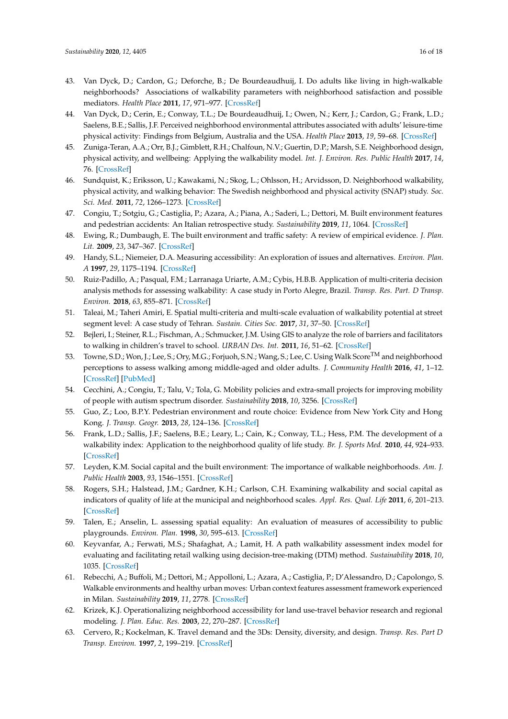- <span id="page-15-25"></span><span id="page-15-23"></span><span id="page-15-21"></span><span id="page-15-0"></span>43. Van Dyck, D.; Cardon, G.; Deforche, B.; De Bourdeaudhuij, I. Do adults like living in high-walkable neighborhoods? Associations of walkability parameters with neighborhood satisfaction and possible mediators. *Health Place* **2011**, *17*, 971–977. [\[CrossRef\]](http://dx.doi.org/10.1016/j.healthplace.2011.04.001)
- <span id="page-15-1"></span>44. Van Dyck, D.; Cerin, E.; Conway, T.L.; De Bourdeaudhuij, I.; Owen, N.; Kerr, J.; Cardon, G.; Frank, L.D.; Saelens, B.E.; Sallis, J.F. Perceived neighborhood environmental attributes associated with adults' leisure-time physical activity: Findings from Belgium, Australia and the USA. *Health Place* **2013**, *19*, 59–68. [\[CrossRef\]](http://dx.doi.org/10.1016/j.healthplace.2012.09.017)
- <span id="page-15-26"></span><span id="page-15-2"></span>45. Zuniga-Teran, A.A.; Orr, B.J.; Gimblett, R.H.; Chalfoun, N.V.; Guertin, D.P.; Marsh, S.E. Neighborhood design, physical activity, and wellbeing: Applying the walkability model. *Int. J. Environ. Res. Public Health* **2017**, *14*, 76. [\[CrossRef\]](http://dx.doi.org/10.3390/ijerph14010076)
- <span id="page-15-3"></span>46. Sundquist, K.; Eriksson, U.; Kawakami, N.; Skog, L.; Ohlsson, H.; Arvidsson, D. Neighborhood walkability, physical activity, and walking behavior: The Swedish neighborhood and physical activity (SNAP) study. *Soc. Sci. Med.* **2011**, *72*, 1266–1273. [\[CrossRef\]](http://dx.doi.org/10.1016/j.socscimed.2011.03.004)
- <span id="page-15-22"></span><span id="page-15-4"></span>47. Congiu, T.; Sotgiu, G.; Castiglia, P.; Azara, A.; Piana, A.; Saderi, L.; Dettori, M. Built environment features and pedestrian accidents: An Italian retrospective study. *Sustainability* **2019**, *11*, 1064. [\[CrossRef\]](http://dx.doi.org/10.3390/su11041064)
- <span id="page-15-5"></span>48. Ewing, R.; Dumbaugh, E. The built environment and traffic safety: A review of empirical evidence. *J. Plan. Lit.* **2009**, *23*, 347–367. [\[CrossRef\]](http://dx.doi.org/10.1177/0885412209335553)
- <span id="page-15-6"></span>49. Handy, S.L.; Niemeier, D.A. Measuring accessibility: An exploration of issues and alternatives. *Environ. Plan. A* **1997**, *29*, 1175–1194. [\[CrossRef\]](http://dx.doi.org/10.1068/a291175)
- <span id="page-15-18"></span>50. Ruiz-Padillo, A.; Pasqual, F.M.; Larranaga Uriarte, A.M.; Cybis, H.B.B. Application of multi-criteria decision analysis methods for assessing walkability: A case study in Porto Alegre, Brazil. *Transp. Res. Part. D Transp. Environ.* **2018**, *63*, 855–871. [\[CrossRef\]](http://dx.doi.org/10.1016/j.trd.2018.07.016)
- <span id="page-15-7"></span>51. Taleai, M.; Taheri Amiri, E. Spatial multi-criteria and multi-scale evaluation of walkability potential at street segment level: A case study of Tehran. *Sustain. Cities Soc.* **2017**, *31*, 37–50. [\[CrossRef\]](http://dx.doi.org/10.1016/j.scs.2017.02.011)
- <span id="page-15-24"></span><span id="page-15-8"></span>52. Bejleri, I.; Steiner, R.L.; Fischman, A.; Schmucker, J.M. Using GIS to analyze the role of barriers and facilitators to walking in children's travel to school. *URBAN Des. Int.* **2011**, *16*, 51–62. [\[CrossRef\]](http://dx.doi.org/10.1057/udi.2010.18)
- <span id="page-15-9"></span>53. Towne, S.D.; Won, J.; Lee, S.; Ory, M.G.; Forjuoh, S.N.; Wang, S.; Lee, C. Using Walk Score<sup>TM</sup> and neighborhood perceptions to assess walking among middle-aged and older adults. *J. Community Health* **2016**, *41*, 1–12. [\[CrossRef\]](http://dx.doi.org/10.1007/s10900-016-0180-z) [\[PubMed\]](http://www.ncbi.nlm.nih.gov/pubmed/26994989)
- <span id="page-15-20"></span><span id="page-15-10"></span>54. Cecchini, A.; Congiu, T.; Talu, V.; Tola, G. Mobility policies and extra-small projects for improving mobility of people with autism spectrum disorder. *Sustainability* **2018**, *10*, 3256. [\[CrossRef\]](http://dx.doi.org/10.3390/su10093256)
- <span id="page-15-19"></span><span id="page-15-11"></span>55. Guo, Z.; Loo, B.P.Y. Pedestrian environment and route choice: Evidence from New York City and Hong Kong. *J. Transp. Geogr.* **2013**, *28*, 124–136. [\[CrossRef\]](http://dx.doi.org/10.1016/j.jtrangeo.2012.11.013)
- <span id="page-15-12"></span>56. Frank, L.D.; Sallis, J.F.; Saelens, B.E.; Leary, L.; Cain, K.; Conway, T.L.; Hess, P.M. The development of a walkability index: Application to the neighborhood quality of life study. *Br. J. Sports Med.* **2010**, *44*, 924–933. [\[CrossRef\]](http://dx.doi.org/10.1136/bjsm.2009.058701)
- 57. Leyden, K.M. Social capital and the built environment: The importance of walkable neighborhoods. *Am. J. Public Health* **2003**, *93*, 1546–1551. [\[CrossRef\]](http://dx.doi.org/10.2105/AJPH.93.9.1546)
- 58. Rogers, S.H.; Halstead, J.M.; Gardner, K.H.; Carlson, C.H. Examining walkability and social capital as indicators of quality of life at the municipal and neighborhood scales. *Appl. Res. Qual. Life* **2011**, *6*, 201–213. [\[CrossRef\]](http://dx.doi.org/10.1007/s11482-010-9132-4)
- <span id="page-15-13"></span>59. Talen, E.; Anselin, L. assessing spatial equality: An evaluation of measures of accessibility to public playgrounds. *Environ. Plan.* **1998**, *30*, 595–613. [\[CrossRef\]](http://dx.doi.org/10.1068/a300595)
- <span id="page-15-14"></span>60. Keyvanfar, A.; Ferwati, M.S.; Shafaghat, A.; Lamit, H. A path walkability assessment index model for evaluating and facilitating retail walking using decision-tree-making (DTM) method. *Sustainability* **2018**, *10*, 1035. [\[CrossRef\]](http://dx.doi.org/10.3390/su10041035)
- <span id="page-15-15"></span>61. Rebecchi, A.; Buffoli, M.; Dettori, M.; Appolloni, L.; Azara, A.; Castiglia, P.; D'Alessandro, D.; Capolongo, S. Walkable environments and healthy urban moves: Urban context features assessment framework experienced in Milan. *Sustainability* **2019**, *11*, 2778. [\[CrossRef\]](http://dx.doi.org/10.3390/su11102778)
- <span id="page-15-16"></span>62. Krizek, K.J. Operationalizing neighborhood accessibility for land use-travel behavior research and regional modeling. *J. Plan. Educ. Res.* **2003**, *22*, 270–287. [\[CrossRef\]](http://dx.doi.org/10.1177/0739456X02250315)
- <span id="page-15-17"></span>63. Cervero, R.; Kockelman, K. Travel demand and the 3Ds: Density, diversity, and design. *Transp. Res. Part D Transp. Environ.* **1997**, *2*, 199–219. [\[CrossRef\]](http://dx.doi.org/10.1016/S1361-9209(97)00009-6)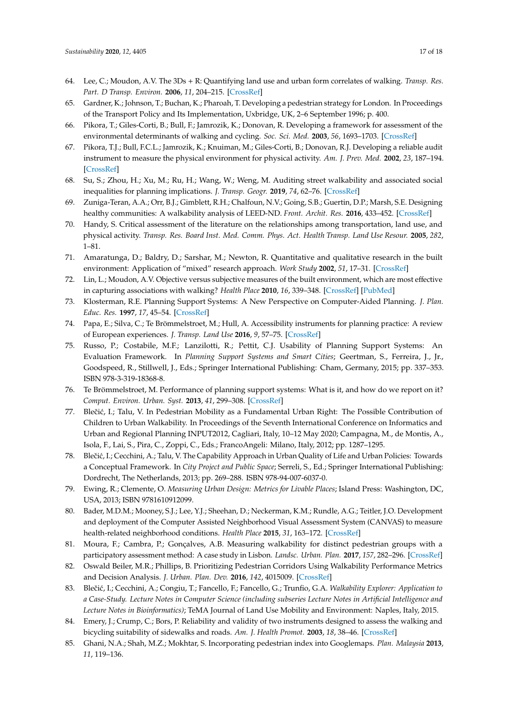- <span id="page-16-26"></span><span id="page-16-23"></span><span id="page-16-22"></span><span id="page-16-20"></span><span id="page-16-0"></span>64. Lee, C.; Moudon, A.V. The 3Ds + R: Quantifying land use and urban form correlates of walking. *Transp. Res. Part. D Transp. Environ.* **2006**, *11*, 204–215. [\[CrossRef\]](http://dx.doi.org/10.1016/j.trd.2006.02.003)
- <span id="page-16-1"></span>65. Gardner, K.; Johnson, T.; Buchan, K.; Pharoah, T. Developing a pedestrian strategy for London. In Proceedings of the Transport Policy and Its Implementation, Uxbridge, UK, 2–6 September 1996; p. 400.
- <span id="page-16-2"></span>66. Pikora, T.; Giles-Corti, B.; Bull, F.; Jamrozik, K.; Donovan, R. Developing a framework for assessment of the environmental determinants of walking and cycling. *Soc. Sci. Med.* **2003**, *56*, 1693–1703. [\[CrossRef\]](http://dx.doi.org/10.1016/S0277-9536(02)00163-6)
- <span id="page-16-3"></span>67. Pikora, T.J.; Bull, F.C.L.; Jamrozik, K.; Knuiman, M.; Giles-Corti, B.; Donovan, R.J. Developing a reliable audit instrument to measure the physical environment for physical activity. *Am. J. Prev. Med.* **2002**, *23*, 187–194. [\[CrossRef\]](http://dx.doi.org/10.1016/S0749-3797(02)00498-1)
- <span id="page-16-4"></span>68. Su, S.; Zhou, H.; Xu, M.; Ru, H.; Wang, W.; Weng, M. Auditing street walkability and associated social inequalities for planning implications. *J. Transp. Geogr.* **2019**, *74*, 62–76. [\[CrossRef\]](http://dx.doi.org/10.1016/j.jtrangeo.2018.11.003)
- <span id="page-16-5"></span>69. Zuniga-Teran, A.A.; Orr, B.J.; Gimblett, R.H.; Chalfoun, N.V.; Going, S.B.; Guertin, D.P.; Marsh, S.E. Designing healthy communities: A walkability analysis of LEED-ND. *Front. Archit. Res.* **2016**, 433–452. [\[CrossRef\]](http://dx.doi.org/10.1016/j.foar.2016.09.004)
- <span id="page-16-6"></span>70. Handy, S. Critical assessment of the literature on the relationships among transportation, land use, and physical activity. *Transp. Res. Board Inst. Med. Comm. Phys. Act. Health Transp. Land Use Resour.* **2005**, *282*, 1–81.
- <span id="page-16-7"></span>71. Amaratunga, D.; Baldry, D.; Sarshar, M.; Newton, R. Quantitative and qualitative research in the built environment: Application of "mixed" research approach. *Work Study* **2002**, *51*, 17–31. [\[CrossRef\]](http://dx.doi.org/10.1108/00438020210415488)
- <span id="page-16-8"></span>72. Lin, L.; Moudon, A.V. Objective versus subjective measures of the built environment, which are most effective in capturing associations with walking? *Health Place* **2010**, *16*, 339–348. [\[CrossRef\]](http://dx.doi.org/10.1016/j.healthplace.2009.11.002) [\[PubMed\]](http://www.ncbi.nlm.nih.gov/pubmed/20004130)
- <span id="page-16-9"></span>73. Klosterman, R.E. Planning Support Systems: A New Perspective on Computer-Aided Planning. *J. Plan. Educ. Res.* **1997**, *17*, 45–54. [\[CrossRef\]](http://dx.doi.org/10.1177/0739456X9701700105)
- <span id="page-16-21"></span>74. Papa, E.; Silva, C.; Te Brömmelstroet, M.; Hull, A. Accessibility instruments for planning practice: A review of European experiences. *J. Transp. Land Use* **2016**, *9*, 57–75. [\[CrossRef\]](http://dx.doi.org/10.5198/jtlu.2015.585)
- <span id="page-16-24"></span>75. Russo, P.; Costabile, M.F.; Lanzilotti, R.; Pettit, C.J. Usability of Planning Support Systems: An Evaluation Framework. In *Planning Support Systems and Smart Cities*; Geertman, S., Ferreira, J., Jr., Goodspeed, R., Stillwell, J., Eds.; Springer International Publishing: Cham, Germany, 2015; pp. 337–353. ISBN 978-3-319-18368-8.
- <span id="page-16-27"></span><span id="page-16-10"></span>76. Te Brömmelstroet, M. Performance of planning support systems: What is it, and how do we report on it? *Comput. Environ. Urban. Syst.* **2013**, *41*, 299–308. [\[CrossRef\]](http://dx.doi.org/10.1016/j.compenvurbsys.2012.07.004)
- <span id="page-16-25"></span><span id="page-16-11"></span>77. Blečić, I.; Talu, V. In Pedestrian Mobility as a Fundamental Urban Right: The Possible Contribution of Children to Urban Walkability. In Proceedings of the Seventh International Conference on Informatics and Urban and Regional Planning INPUT2012, Cagliari, Italy, 10–12 May 2020; Campagna, M., de Montis, A., Isola, F., Lai, S., Pira, C., Zoppi, C., Eds.; FrancoAngeli: Milano, Italy, 2012; pp. 1287–1295.
- <span id="page-16-12"></span>78. Blečić, I.; Cecchini, A.; Talu, V. The Capability Approach in Urban Quality of Life and Urban Policies: Towards a Conceptual Framework. In *City Project and Public Space*; Serreli, S., Ed.; Springer International Publishing: Dordrecht, The Netherlands, 2013; pp. 269–288. ISBN 978-94-007-6037-0.
- <span id="page-16-13"></span>79. Ewing, R.; Clemente, O. *Measuring Urban Design: Metrics for Livable Places*; Island Press: Washington, DC, USA, 2013; ISBN 9781610912099.
- <span id="page-16-15"></span>80. Bader, M.D.M.; Mooney, S.J.; Lee, Y.J.; Sheehan, D.; Neckerman, K.M.; Rundle, A.G.; Teitler, J.O. Development and deployment of the Computer Assisted Neighborhood Visual Assessment System (CANVAS) to measure health-related neighborhood conditions. *Health Place* **2015**, *31*, 163–172. [\[CrossRef\]](http://dx.doi.org/10.1016/j.healthplace.2014.10.012)
- <span id="page-16-18"></span>81. Moura, F.; Cambra, P.; Gonçalves, A.B. Measuring walkability for distinct pedestrian groups with a participatory assessment method: A case study in Lisbon. *Landsc. Urban. Plan.* **2017**, *157*, 282–296. [\[CrossRef\]](http://dx.doi.org/10.1016/j.landurbplan.2016.07.002)
- <span id="page-16-17"></span>82. Oswald Beiler, M.R.; Phillips, B. Prioritizing Pedestrian Corridors Using Walkability Performance Metrics and Decision Analysis. *J. Urban. Plan. Dev.* **2016**, *142*, 4015009. [\[CrossRef\]](http://dx.doi.org/10.1061/(ASCE)UP.1943-5444.0000290)
- <span id="page-16-14"></span>83. Blečić, I.; Cecchini, A.; Congiu, T.; Fancello, F.; Fancello, G.; Trunfio, G.A. *Walkability Explorer: Application to a Case-Study. Lecture Notes in Computer Science (including subseries Lecture Notes in Artificial Intelligence and Lecture Notes in Bioinformatics)*; TeMA Journal of Land Use Mobility and Environment: Naples, Italy, 2015.
- <span id="page-16-16"></span>84. Emery, J.; Crump, C.; Bors, P. Reliability and validity of two instruments designed to assess the walking and bicycling suitability of sidewalks and roads. *Am. J. Health Promot.* **2003**, *18*, 38–46. [\[CrossRef\]](http://dx.doi.org/10.4278/0890-1171-18.1.38)
- <span id="page-16-19"></span>85. Ghani, N.A.; Shah, M.Z.; Mokhtar, S. Incorporating pedestrian index into Googlemaps. *Plan. Malaysia* **2013**, *11*, 119–136.